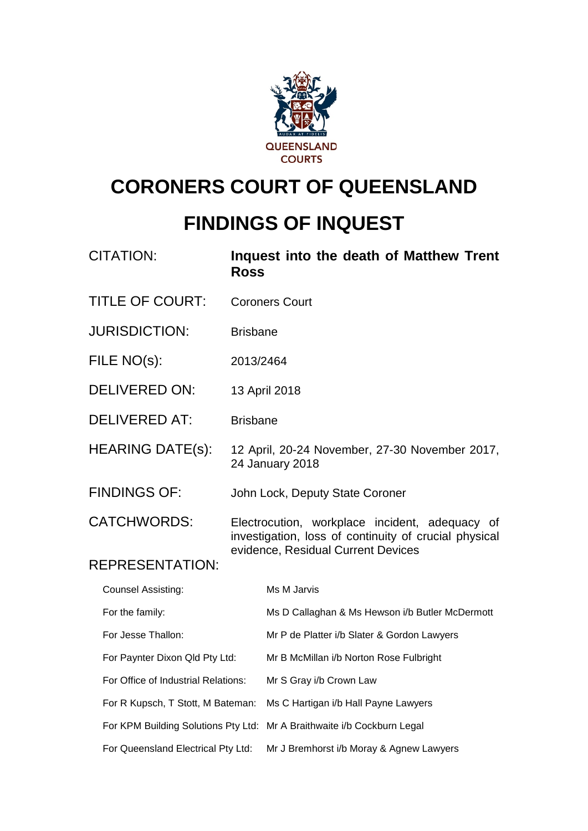

# **CORONERS COURT OF QUEENSLAND**

# **FINDINGS OF INQUEST**

| CITATION:                           | <b>Ross</b>                                                                                             | Inquest into the death of Matthew Trent                                 |  |  |  |  |
|-------------------------------------|---------------------------------------------------------------------------------------------------------|-------------------------------------------------------------------------|--|--|--|--|
| <b>TITLE OF COURT:</b>              |                                                                                                         | <b>Coroners Court</b>                                                   |  |  |  |  |
| <b>JURISDICTION:</b>                | <b>Brisbane</b>                                                                                         |                                                                         |  |  |  |  |
| FILE NO(s):                         | 2013/2464                                                                                               |                                                                         |  |  |  |  |
| <b>DELIVERED ON:</b>                |                                                                                                         | 13 April 2018                                                           |  |  |  |  |
| <b>DELIVERED AT:</b>                | <b>Brisbane</b>                                                                                         |                                                                         |  |  |  |  |
| <b>HEARING DATE(s):</b>             |                                                                                                         | 12 April, 20-24 November, 27-30 November 2017,<br>24 January 2018       |  |  |  |  |
| <b>FINDINGS OF:</b>                 |                                                                                                         | John Lock, Deputy State Coroner                                         |  |  |  |  |
| <b>CATCHWORDS:</b>                  | Electrocution, workplace incident, adequacy of<br>investigation, loss of continuity of crucial physical |                                                                         |  |  |  |  |
| <b>REPRESENTATION:</b>              |                                                                                                         | evidence, Residual Current Devices                                      |  |  |  |  |
| <b>Counsel Assisting:</b>           |                                                                                                         | Ms M Jarvis                                                             |  |  |  |  |
| For the family:                     |                                                                                                         | Ms D Callaghan & Ms Hewson i/b Butler McDermott                         |  |  |  |  |
| For Jesse Thallon:                  |                                                                                                         | Mr P de Platter i/b Slater & Gordon Lawyers                             |  |  |  |  |
| For Paynter Dixon Qld Pty Ltd:      |                                                                                                         | Mr B McMillan i/b Norton Rose Fulbright                                 |  |  |  |  |
| For Office of Industrial Relations: |                                                                                                         | Mr S Gray i/b Crown Law                                                 |  |  |  |  |
| For R Kupsch, T Stott, M Bateman:   |                                                                                                         | Ms C Hartigan i/b Hall Payne Lawyers                                    |  |  |  |  |
|                                     |                                                                                                         | For KPM Building Solutions Pty Ltd: Mr A Braithwaite i/b Cockburn Legal |  |  |  |  |
| For Queensland Electrical Pty Ltd:  |                                                                                                         | Mr J Bremhorst i/b Moray & Agnew Lawyers                                |  |  |  |  |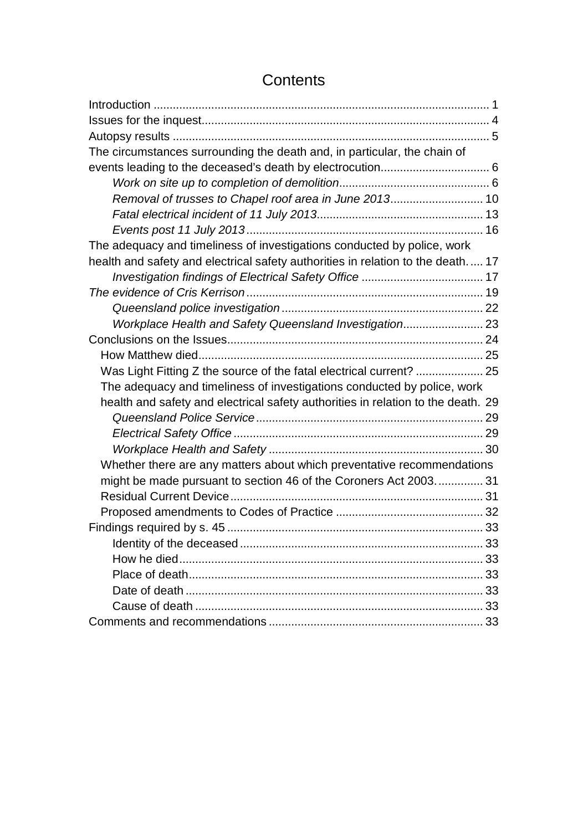# **Contents**

| The circumstances surrounding the death and, in particular, the chain of         |  |
|----------------------------------------------------------------------------------|--|
|                                                                                  |  |
|                                                                                  |  |
| Removal of trusses to Chapel roof area in June 2013 10                           |  |
|                                                                                  |  |
|                                                                                  |  |
| The adequacy and timeliness of investigations conducted by police, work          |  |
| health and safety and electrical safety authorities in relation to the death 17  |  |
|                                                                                  |  |
|                                                                                  |  |
|                                                                                  |  |
| Workplace Health and Safety Queensland Investigation 23                          |  |
|                                                                                  |  |
|                                                                                  |  |
| Was Light Fitting Z the source of the fatal electrical current?  25              |  |
| The adequacy and timeliness of investigations conducted by police, work          |  |
| health and safety and electrical safety authorities in relation to the death. 29 |  |
|                                                                                  |  |
|                                                                                  |  |
|                                                                                  |  |
| Whether there are any matters about which preventative recommendations           |  |
| might be made pursuant to section 46 of the Coroners Act 2003 31                 |  |
|                                                                                  |  |
|                                                                                  |  |
|                                                                                  |  |
|                                                                                  |  |
|                                                                                  |  |
|                                                                                  |  |
|                                                                                  |  |
|                                                                                  |  |
|                                                                                  |  |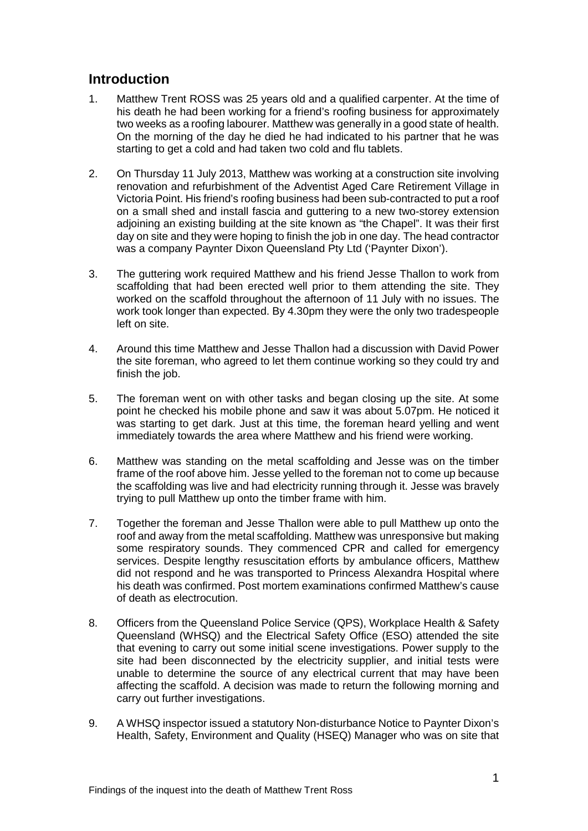# <span id="page-2-0"></span>**Introduction**

- 1. Matthew Trent ROSS was 25 years old and a qualified carpenter. At the time of his death he had been working for a friend's roofing business for approximately two weeks as a roofing labourer. Matthew was generally in a good state of health. On the morning of the day he died he had indicated to his partner that he was starting to get a cold and had taken two cold and flu tablets.
- 2. On Thursday 11 July 2013, Matthew was working at a construction site involving renovation and refurbishment of the Adventist Aged Care Retirement Village in Victoria Point. His friend's roofing business had been sub-contracted to put a roof on a small shed and install fascia and guttering to a new two-storey extension adjoining an existing building at the site known as "the Chapel". It was their first day on site and they were hoping to finish the job in one day. The head contractor was a company Paynter Dixon Queensland Pty Ltd ('Paynter Dixon').
- 3. The guttering work required Matthew and his friend Jesse Thallon to work from scaffolding that had been erected well prior to them attending the site. They worked on the scaffold throughout the afternoon of 11 July with no issues. The work took longer than expected. By 4.30pm they were the only two tradespeople left on site.
- 4. Around this time Matthew and Jesse Thallon had a discussion with David Power the site foreman, who agreed to let them continue working so they could try and finish the job.
- 5. The foreman went on with other tasks and began closing up the site. At some point he checked his mobile phone and saw it was about 5.07pm. He noticed it was starting to get dark. Just at this time, the foreman heard yelling and went immediately towards the area where Matthew and his friend were working.
- 6. Matthew was standing on the metal scaffolding and Jesse was on the timber frame of the roof above him. Jesse yelled to the foreman not to come up because the scaffolding was live and had electricity running through it. Jesse was bravely trying to pull Matthew up onto the timber frame with him.
- 7. Together the foreman and Jesse Thallon were able to pull Matthew up onto the roof and away from the metal scaffolding. Matthew was unresponsive but making some respiratory sounds. They commenced CPR and called for emergency services. Despite lengthy resuscitation efforts by ambulance officers, Matthew did not respond and he was transported to Princess Alexandra Hospital where his death was confirmed. Post mortem examinations confirmed Matthew's cause of death as electrocution.
- 8. Officers from the Queensland Police Service (QPS), Workplace Health & Safety Queensland (WHSQ) and the Electrical Safety Office (ESO) attended the site that evening to carry out some initial scene investigations. Power supply to the site had been disconnected by the electricity supplier, and initial tests were unable to determine the source of any electrical current that may have been affecting the scaffold. A decision was made to return the following morning and carry out further investigations.
- 9. A WHSQ inspector issued a statutory Non-disturbance Notice to Paynter Dixon's Health, Safety, Environment and Quality (HSEQ) Manager who was on site that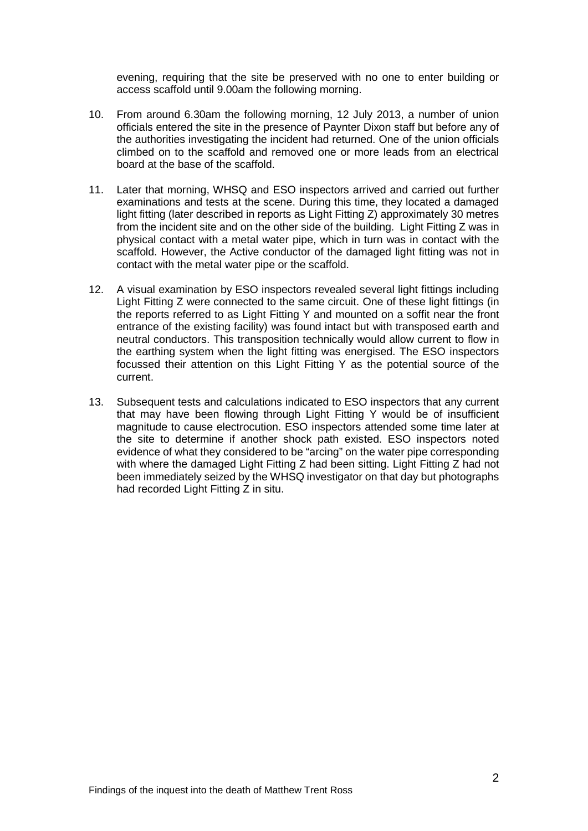evening, requiring that the site be preserved with no one to enter building or access scaffold until 9.00am the following morning.

- 10. From around 6.30am the following morning, 12 July 2013, a number of union officials entered the site in the presence of Paynter Dixon staff but before any of the authorities investigating the incident had returned. One of the union officials climbed on to the scaffold and removed one or more leads from an electrical board at the base of the scaffold.
- 11. Later that morning, WHSQ and ESO inspectors arrived and carried out further examinations and tests at the scene. During this time, they located a damaged light fitting (later described in reports as Light Fitting Z) approximately 30 metres from the incident site and on the other side of the building. Light Fitting Z was in physical contact with a metal water pipe, which in turn was in contact with the scaffold. However, the Active conductor of the damaged light fitting was not in contact with the metal water pipe or the scaffold.
- 12. A visual examination by ESO inspectors revealed several light fittings including Light Fitting Z were connected to the same circuit. One of these light fittings (in the reports referred to as Light Fitting Y and mounted on a soffit near the front entrance of the existing facility) was found intact but with transposed earth and neutral conductors. This transposition technically would allow current to flow in the earthing system when the light fitting was energised. The ESO inspectors focussed their attention on this Light Fitting Y as the potential source of the current.
- 13. Subsequent tests and calculations indicated to ESO inspectors that any current that may have been flowing through Light Fitting Y would be of insufficient magnitude to cause electrocution. ESO inspectors attended some time later at the site to determine if another shock path existed. ESO inspectors noted evidence of what they considered to be "arcing" on the water pipe corresponding with where the damaged Light Fitting Z had been sitting. Light Fitting Z had not been immediately seized by the WHSQ investigator on that day but photographs had recorded Light Fitting Z in situ.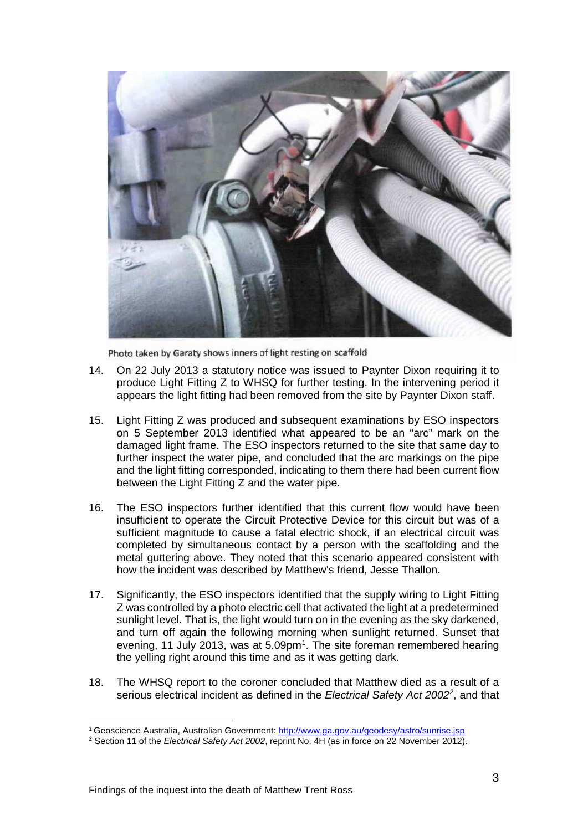

Photo taken by Garaty shows inners of light resting on scaffold

- 14. On 22 July 2013 a statutory notice was issued to Paynter Dixon requiring it to produce Light Fitting Z to WHSQ for further testing. In the intervening period it appears the light fitting had been removed from the site by Paynter Dixon staff.
- 15. Light Fitting Z was produced and subsequent examinations by ESO inspectors on 5 September 2013 identified what appeared to be an "arc" mark on the damaged light frame. The ESO inspectors returned to the site that same day to further inspect the water pipe, and concluded that the arc markings on the pipe and the light fitting corresponded, indicating to them there had been current flow between the Light Fitting Z and the water pipe.
- 16. The ESO inspectors further identified that this current flow would have been insufficient to operate the Circuit Protective Device for this circuit but was of a sufficient magnitude to cause a fatal electric shock, if an electrical circuit was completed by simultaneous contact by a person with the scaffolding and the metal guttering above. They noted that this scenario appeared consistent with how the incident was described by Matthew's friend, Jesse Thallon.
- 17. Significantly, the ESO inspectors identified that the supply wiring to Light Fitting Z was controlled by a photo electric cell that activated the light at a predetermined sunlight level. That is, the light would turn on in the evening as the sky darkened, and turn off again the following morning when sunlight returned. Sunset that evening, [1](#page-4-0)1 July 2013, was at  $5.09<sub>pm</sub>1$ . The site foreman remembered hearing the yelling right around this time and as it was getting dark.
- 18. The WHSQ report to the coroner concluded that Matthew died as a result of a serious electrical incident as defined in the *Electrical Safety Act 2002[2](#page-4-1)* , and that

<sup>&</sup>lt;sup>1</sup> Geoscience Australia, Australian Government: <u>http://www.ga.gov.au/geodesy/astro/sunrise.jsp</u>  $\overline{a}$ 

<span id="page-4-1"></span><span id="page-4-0"></span><sup>2</sup> Section 11 of the *Electrical Safety Act 2002*, reprint No. 4H (as in force on 22 November 2012).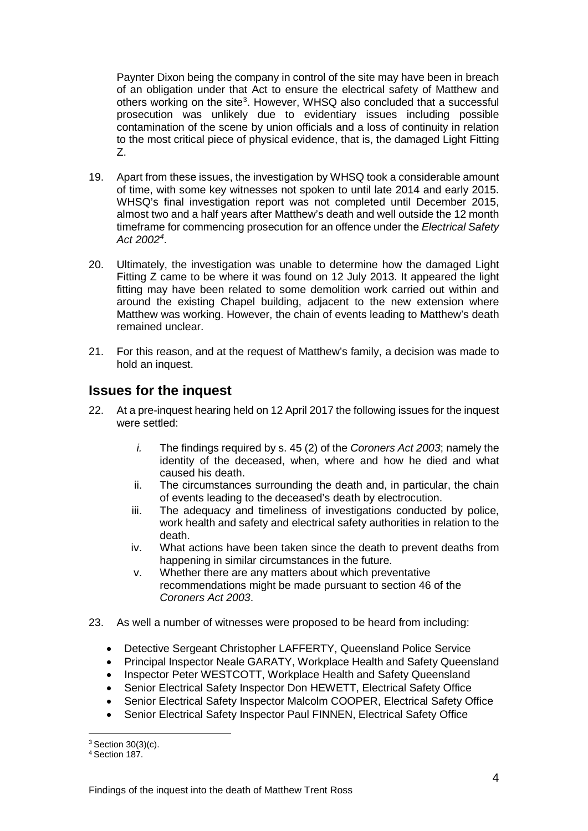Paynter Dixon being the company in control of the site may have been in breach of an obligation under that Act to ensure the electrical safety of Matthew and others working on the site<sup>[3](#page-5-1)</sup>. However, WHSQ also concluded that a successful prosecution was unlikely due to evidentiary issues including possible contamination of the scene by union officials and a loss of continuity in relation to the most critical piece of physical evidence, that is, the damaged Light Fitting Z.

- 19. Apart from these issues, the investigation by WHSQ took a considerable amount of time, with some key witnesses not spoken to until late 2014 and early 2015. WHSQ's final investigation report was not completed until December 2015, almost two and a half years after Matthew's death and well outside the 12 month timeframe for commencing prosecution for an offence under the *Electrical Safety Act 2002[4](#page-5-2)* .
- 20. Ultimately, the investigation was unable to determine how the damaged Light Fitting Z came to be where it was found on 12 July 2013. It appeared the light fitting may have been related to some demolition work carried out within and around the existing Chapel building, adjacent to the new extension where Matthew was working. However, the chain of events leading to Matthew's death remained unclear.
- 21. For this reason, and at the request of Matthew's family, a decision was made to hold an inquest.

# <span id="page-5-0"></span>**Issues for the inquest**

- 22. At a pre-inquest hearing held on 12 April 2017 the following issues for the inquest were settled:
	- *i.* The findings required by s. 45 (2) of the *Coroners Act 2003*; namely the identity of the deceased, when, where and how he died and what caused his death.
	- ii. The circumstances surrounding the death and, in particular, the chain of events leading to the deceased's death by electrocution.
	- iii. The adequacy and timeliness of investigations conducted by police, work health and safety and electrical safety authorities in relation to the death.
	- iv. What actions have been taken since the death to prevent deaths from happening in similar circumstances in the future.
	- v. Whether there are any matters about which preventative recommendations might be made pursuant to section 46 of the *Coroners Act 2003*.
- 23. As well a number of witnesses were proposed to be heard from including:
	- Detective Sergeant Christopher LAFFERTY, Queensland Police Service
	- Principal Inspector Neale GARATY, Workplace Health and Safety Queensland
	- Inspector Peter WESTCOTT, Workplace Health and Safety Queensland
	- Senior Electrical Safety Inspector Don HEWETT, Electrical Safety Office
	- Senior Electrical Safety Inspector Malcolm COOPER, Electrical Safety Office
	- Senior Electrical Safety Inspector Paul FINNEN, Electrical Safety Office

<sup>3</sup> Section 30(3)(c).  $\overline{a}$ 

<span id="page-5-2"></span><span id="page-5-1"></span><sup>4</sup> Section 187.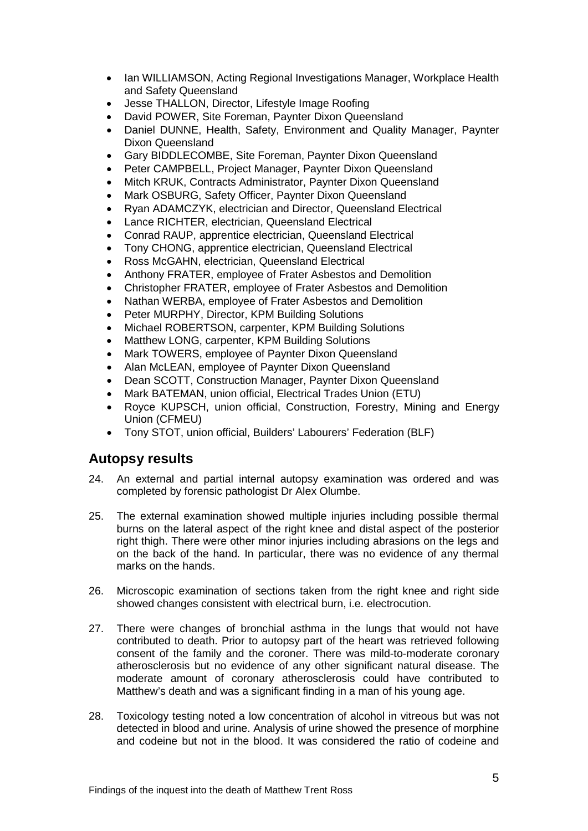- Ian WILLIAMSON, Acting Regional Investigations Manager, Workplace Health and Safety Queensland
- Jesse THALLON, Director, Lifestyle Image Roofing
- David POWER, Site Foreman, Paynter Dixon Queensland
- Daniel DUNNE, Health, Safety, Environment and Quality Manager, Paynter Dixon Queensland
- Gary BIDDLECOMBE, Site Foreman, Paynter Dixon Queensland
- Peter CAMPBELL, Project Manager, Paynter Dixon Queensland
- Mitch KRUK, Contracts Administrator, Paynter Dixon Queensland
- Mark OSBURG, Safety Officer, Paynter Dixon Queensland
- Ryan ADAMCZYK, electrician and Director, Queensland Electrical
- Lance RICHTER, electrician, Queensland Electrical
- Conrad RAUP, apprentice electrician, Queensland Electrical
- Tony CHONG, apprentice electrician, Queensland Electrical
- Ross McGAHN, electrician, Queensland Electrical
- Anthony FRATER, employee of Frater Asbestos and Demolition
- Christopher FRATER, employee of Frater Asbestos and Demolition
- Nathan WERBA, employee of Frater Asbestos and Demolition
- Peter MURPHY, Director, KPM Building Solutions
- Michael ROBERTSON, carpenter, KPM Building Solutions
- Matthew LONG, carpenter, KPM Building Solutions
- Mark TOWERS, employee of Paynter Dixon Queensland
- Alan McLEAN, employee of Paynter Dixon Queensland
- Dean SCOTT, Construction Manager, Paynter Dixon Queensland
- Mark BATEMAN, union official, Electrical Trades Union (ETU)
- Royce KUPSCH, union official, Construction, Forestry, Mining and Energy Union (CFMEU)
- Tony STOT, union official, Builders' Labourers' Federation (BLF)

## <span id="page-6-0"></span>**Autopsy results**

- 24. An external and partial internal autopsy examination was ordered and was completed by forensic pathologist Dr Alex Olumbe.
- 25. The external examination showed multiple injuries including possible thermal burns on the lateral aspect of the right knee and distal aspect of the posterior right thigh. There were other minor injuries including abrasions on the legs and on the back of the hand. In particular, there was no evidence of any thermal marks on the hands.
- 26. Microscopic examination of sections taken from the right knee and right side showed changes consistent with electrical burn, i.e. electrocution.
- 27. There were changes of bronchial asthma in the lungs that would not have contributed to death. Prior to autopsy part of the heart was retrieved following consent of the family and the coroner. There was mild-to-moderate coronary atherosclerosis but no evidence of any other significant natural disease. The moderate amount of coronary atherosclerosis could have contributed to Matthew's death and was a significant finding in a man of his young age.
- 28. Toxicology testing noted a low concentration of alcohol in vitreous but was not detected in blood and urine. Analysis of urine showed the presence of morphine and codeine but not in the blood. It was considered the ratio of codeine and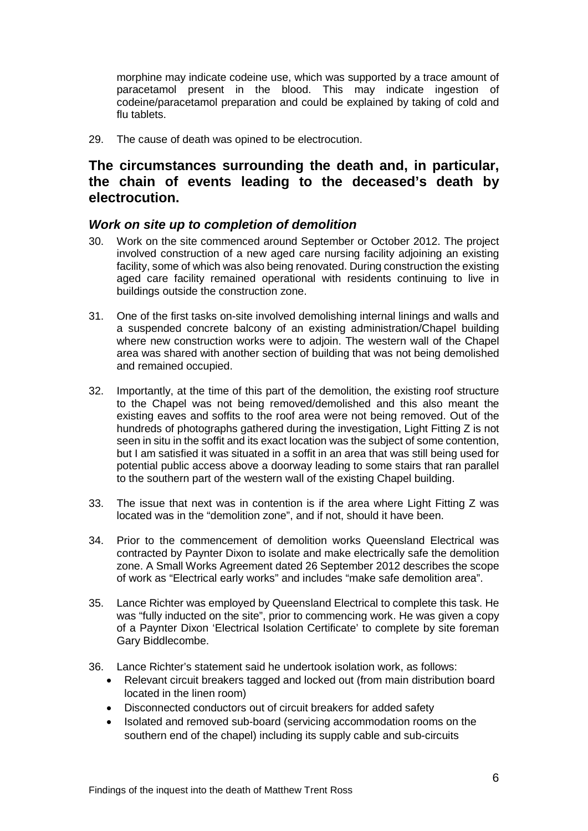morphine may indicate codeine use, which was supported by a trace amount of paracetamol present in the blood. This may indicate ingestion of codeine/paracetamol preparation and could be explained by taking of cold and flu tablets.

<span id="page-7-0"></span>29. The cause of death was opined to be electrocution.

# **The circumstances surrounding the death and, in particular, the chain of events leading to the deceased's death by electrocution.**

## <span id="page-7-1"></span>*Work on site up to completion of demolition*

- 30. Work on the site commenced around September or October 2012. The project involved construction of a new aged care nursing facility adjoining an existing facility, some of which was also being renovated. During construction the existing aged care facility remained operational with residents continuing to live in buildings outside the construction zone.
- 31. One of the first tasks on-site involved demolishing internal linings and walls and a suspended concrete balcony of an existing administration/Chapel building where new construction works were to adjoin. The western wall of the Chapel area was shared with another section of building that was not being demolished and remained occupied.
- 32. Importantly, at the time of this part of the demolition, the existing roof structure to the Chapel was not being removed/demolished and this also meant the existing eaves and soffits to the roof area were not being removed. Out of the hundreds of photographs gathered during the investigation, Light Fitting Z is not seen in situ in the soffit and its exact location was the subject of some contention, but I am satisfied it was situated in a soffit in an area that was still being used for potential public access above a doorway leading to some stairs that ran parallel to the southern part of the western wall of the existing Chapel building.
- 33. The issue that next was in contention is if the area where Light Fitting Z was located was in the "demolition zone", and if not, should it have been.
- 34. Prior to the commencement of demolition works Queensland Electrical was contracted by Paynter Dixon to isolate and make electrically safe the demolition zone. A Small Works Agreement dated 26 September 2012 describes the scope of work as "Electrical early works" and includes "make safe demolition area".
- 35. Lance Richter was employed by Queensland Electrical to complete this task. He was "fully inducted on the site", prior to commencing work. He was given a copy of a Paynter Dixon 'Electrical Isolation Certificate' to complete by site foreman Gary Biddlecombe.
- 36. Lance Richter's statement said he undertook isolation work, as follows:
	- Relevant circuit breakers tagged and locked out (from main distribution board located in the linen room)
	- Disconnected conductors out of circuit breakers for added safety
	- Isolated and removed sub-board (servicing accommodation rooms on the southern end of the chapel) including its supply cable and sub-circuits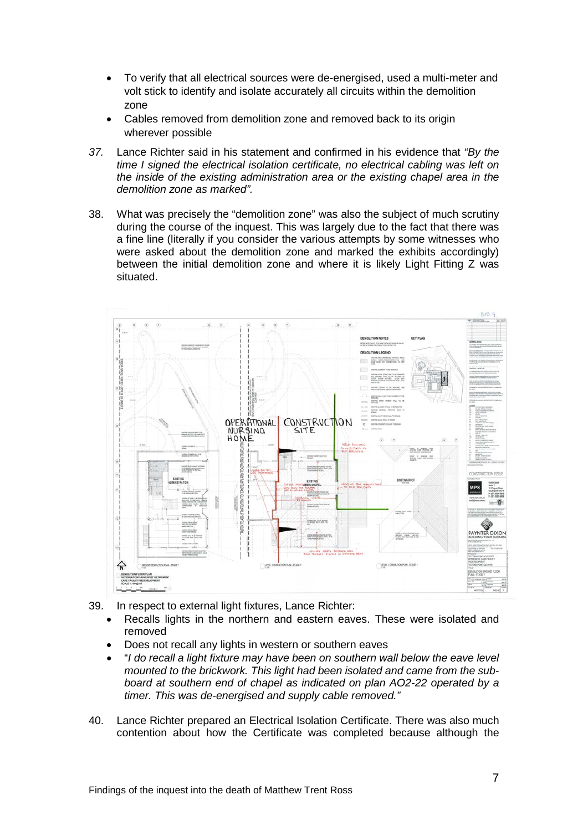- To verify that all electrical sources were de-energised, used a multi-meter and volt stick to identify and isolate accurately all circuits within the demolition zone
- Cables removed from demolition zone and removed back to its origin wherever possible
- *37.* Lance Richter said in his statement and confirmed in his evidence that *"By the time I signed the electrical isolation certificate, no electrical cabling was left on the inside of the existing administration area or the existing chapel area in the demolition zone as marked".*
- 38. What was precisely the "demolition zone" was also the subject of much scrutiny during the course of the inquest. This was largely due to the fact that there was a fine line (literally if you consider the various attempts by some witnesses who were asked about the demolition zone and marked the exhibits accordingly) between the initial demolition zone and where it is likely Light Fitting Z was situated.



- 39. In respect to external light fixtures, Lance Richter:
	- Recalls lights in the northern and eastern eaves. These were isolated and removed
	- Does not recall any lights in western or southern eaves
	- "*I do recall a light fixture may have been on southern wall below the eave level mounted to the brickwork. This light had been isolated and came from the subboard at southern end of chapel as indicated on plan AO2-22 operated by a timer. This was de-energised and supply cable removed."*
- 40. Lance Richter prepared an Electrical Isolation Certificate. There was also much contention about how the Certificate was completed because although the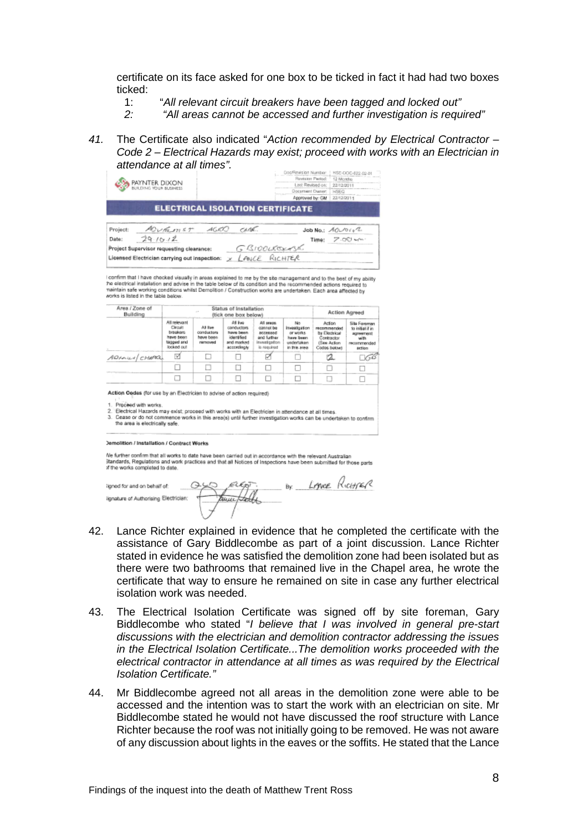certificate on its face asked for one box to be ticked in fact it had had two boxes ticked:

- 1: "*All relevant circuit breakers have been tagged and locked out"*
- *2: "All areas cannot be accessed and further investigation is required"*
- *41.* The Certificate also indicated "*Action recommended by Electrical Contractor – Code 2 – Electrical Hazards may exist; proceed with works with an Electrician in attendance at all times".*

| BUILDING YOUR BLIGNESS                                                                                                                                                                                 | PAYNTER DIXON                                                                |                                               |                                                                                 |                                                                                    | Doc/Revision Number:<br>Revision Period:<br>Last Revised on:<br><b>Document Dwser:</b><br>Approved by: GM | 12 Months<br>22/12/2011<br><b>HSEQ</b><br>22/12/2011                                                             | HSE-DOC-822-02-01                                                             |  |
|--------------------------------------------------------------------------------------------------------------------------------------------------------------------------------------------------------|------------------------------------------------------------------------------|-----------------------------------------------|---------------------------------------------------------------------------------|------------------------------------------------------------------------------------|-----------------------------------------------------------------------------------------------------------|------------------------------------------------------------------------------------------------------------------|-------------------------------------------------------------------------------|--|
|                                                                                                                                                                                                        |                                                                              |                                               | <b>ELECTRICAL ISOLATION CERTIFICATE</b>                                         |                                                                                    |                                                                                                           |                                                                                                                  |                                                                               |  |
| Project:                                                                                                                                                                                               |                                                                              | ADURLINET AGRO                                | CARE.                                                                           |                                                                                    |                                                                                                           | $J$ ob No.: $A$ O $\nu$ Oro <sup>2</sup>                                                                         |                                                                               |  |
| 29.10.12<br>Date:                                                                                                                                                                                      |                                                                              |                                               |                                                                                 |                                                                                    |                                                                                                           | Time: $Z \cdot \sigma \mathbb{O} \sim \sim$                                                                      |                                                                               |  |
| Project Supervisor requesting clearance:                                                                                                                                                               |                                                                              |                                               |                                                                                 | GBIOOLESKASK                                                                       |                                                                                                           |                                                                                                                  |                                                                               |  |
| Licensed Electrician carrying out inspection: x LANCE RICHTER                                                                                                                                          |                                                                              |                                               |                                                                                 |                                                                                    |                                                                                                           |                                                                                                                  |                                                                               |  |
| works is listed in the table below.<br>Area / Zone of<br>Building                                                                                                                                      | Status of Installation<br>(tick one box below)                               |                                               |                                                                                 |                                                                                    |                                                                                                           | Action Agreed                                                                                                    |                                                                               |  |
|                                                                                                                                                                                                        | All relevant<br>Circuit<br>breakers<br>have been<br>tagged and<br>locked out | All Eam<br>conductors<br>have been<br>namowed | All Ing<br>conductors<br>have been<br>identified<br>beatron brea<br>accordingly | All sreps.<br>connot be<br>accessed<br>and further<br>investigation<br>is repulned | No<br>itvestigation<br>or works.<br>have been.<br>undertaken<br>in this area                              | Action<br>recommended<br>by Electrical<br>Contractor<br>(See Action)<br>Codos below)                             | Site Fareman<br>ni hilialini ot<br>agreement<br>with<br>recommended<br>action |  |
| ADFAILED CHARRI                                                                                                                                                                                        | ☞                                                                            |                                               |                                                                                 | ₫                                                                                  |                                                                                                           | 2                                                                                                                | - 66                                                                          |  |
|                                                                                                                                                                                                        |                                                                              |                                               | П                                                                               | □                                                                                  |                                                                                                           |                                                                                                                  | п                                                                             |  |
|                                                                                                                                                                                                        |                                                                              |                                               |                                                                                 |                                                                                    |                                                                                                           | п                                                                                                                | n                                                                             |  |
| Action Codes (for use by an Electrician to advise of action required)<br>1. Proceed with works.<br>2. Electrical Hazards may exist; proceed with works with an Electrician in attendance at all times. | the area is electrically safe.                                               |                                               |                                                                                 |                                                                                    |                                                                                                           | 3. Cease or do not commence works in this area(s) until further investigation works can be undertaken to confirm |                                                                               |  |

By Lowe Richier ligned for and on behalf of lignature of Authorising Electrician:

- 42. Lance Richter explained in evidence that he completed the certificate with the assistance of Gary Biddlecombe as part of a joint discussion. Lance Richter stated in evidence he was satisfied the demolition zone had been isolated but as there were two bathrooms that remained live in the Chapel area, he wrote the certificate that way to ensure he remained on site in case any further electrical isolation work was needed.
- 43. The Electrical Isolation Certificate was signed off by site foreman, Gary Biddlecombe who stated "*I believe that I was involved in general pre-start discussions with the electrician and demolition contractor addressing the issues in the Electrical Isolation Certificate...The demolition works proceeded with the electrical contractor in attendance at all times as was required by the Electrical Isolation Certificate."*
- 44. Mr Biddlecombe agreed not all areas in the demolition zone were able to be accessed and the intention was to start the work with an electrician on site. Mr Biddlecombe stated he would not have discussed the roof structure with Lance Richter because the roof was not initially going to be removed. He was not aware of any discussion about lights in the eaves or the soffits. He stated that the Lance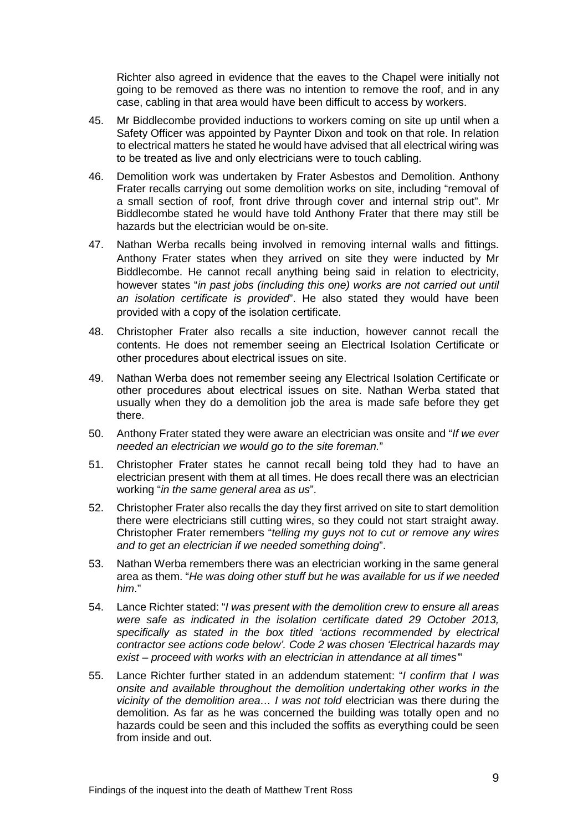Richter also agreed in evidence that the eaves to the Chapel were initially not going to be removed as there was no intention to remove the roof, and in any case, cabling in that area would have been difficult to access by workers.

- 45. Mr Biddlecombe provided inductions to workers coming on site up until when a Safety Officer was appointed by Paynter Dixon and took on that role. In relation to electrical matters he stated he would have advised that all electrical wiring was to be treated as live and only electricians were to touch cabling.
- 46. Demolition work was undertaken by Frater Asbestos and Demolition. Anthony Frater recalls carrying out some demolition works on site, including "removal of a small section of roof, front drive through cover and internal strip out". Mr Biddlecombe stated he would have told Anthony Frater that there may still be hazards but the electrician would be on-site.
- 47. Nathan Werba recalls being involved in removing internal walls and fittings. Anthony Frater states when they arrived on site they were inducted by Mr Biddlecombe. He cannot recall anything being said in relation to electricity, however states "*in past jobs (including this one) works are not carried out until an isolation certificate is provided*". He also stated they would have been provided with a copy of the isolation certificate.
- 48. Christopher Frater also recalls a site induction, however cannot recall the contents. He does not remember seeing an Electrical Isolation Certificate or other procedures about electrical issues on site.
- 49. Nathan Werba does not remember seeing any Electrical Isolation Certificate or other procedures about electrical issues on site. Nathan Werba stated that usually when they do a demolition job the area is made safe before they get there.
- 50. Anthony Frater stated they were aware an electrician was onsite and "*If we ever needed an electrician we would go to the site foreman.*"
- 51. Christopher Frater states he cannot recall being told they had to have an electrician present with them at all times. He does recall there was an electrician working "*in the same general area as us*".
- 52. Christopher Frater also recalls the day they first arrived on site to start demolition there were electricians still cutting wires, so they could not start straight away. Christopher Frater remembers "*telling my guys not to cut or remove any wires and to get an electrician if we needed something doing*".
- 53. Nathan Werba remembers there was an electrician working in the same general area as them. "*He was doing other stuff but he was available for us if we needed him*."
- 54. Lance Richter stated: "*I was present with the demolition crew to ensure all areas were safe as indicated in the isolation certificate dated 29 October 2013, specifically as stated in the box titled 'actions recommended by electrical contractor see actions code below'. Code 2 was chosen 'Electrical hazards may exist – proceed with works with an electrician in attendance at all times'*"
- 55. Lance Richter further stated in an addendum statement: "*I confirm that I was onsite and available throughout the demolition undertaking other works in the vicinity of the demolition area… I was not told* electrician was there during the demolition. As far as he was concerned the building was totally open and no hazards could be seen and this included the soffits as everything could be seen from inside and out.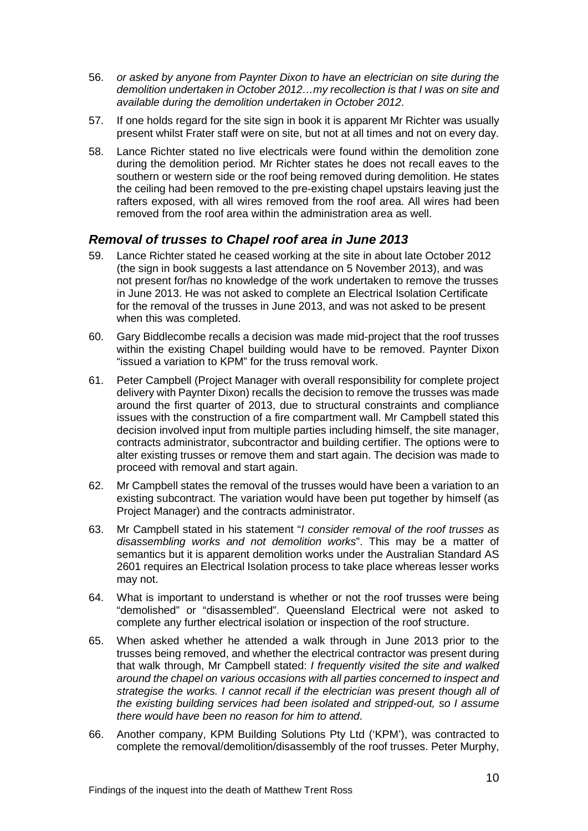- 56. *or asked by anyone from Paynter Dixon to have an electrician on site during the demolition undertaken in October 2012…my recollection is that I was on site and available during the demolition undertaken in October 2012*.
- 57. If one holds regard for the site sign in book it is apparent Mr Richter was usually present whilst Frater staff were on site, but not at all times and not on every day.
- 58. Lance Richter stated no live electricals were found within the demolition zone during the demolition period. Mr Richter states he does not recall eaves to the southern or western side or the roof being removed during demolition. He states the ceiling had been removed to the pre-existing chapel upstairs leaving just the rafters exposed, with all wires removed from the roof area. All wires had been removed from the roof area within the administration area as well.

## <span id="page-11-0"></span>*Removal of trusses to Chapel roof area in June 2013*

- 59. Lance Richter stated he ceased working at the site in about late October 2012 (the sign in book suggests a last attendance on 5 November 2013), and was not present for/has no knowledge of the work undertaken to remove the trusses in June 2013. He was not asked to complete an Electrical Isolation Certificate for the removal of the trusses in June 2013, and was not asked to be present when this was completed.
- 60. Gary Biddlecombe recalls a decision was made mid-project that the roof trusses within the existing Chapel building would have to be removed. Paynter Dixon "issued a variation to KPM" for the truss removal work.
- 61. Peter Campbell (Project Manager with overall responsibility for complete project delivery with Paynter Dixon) recalls the decision to remove the trusses was made around the first quarter of 2013, due to structural constraints and compliance issues with the construction of a fire compartment wall. Mr Campbell stated this decision involved input from multiple parties including himself, the site manager, contracts administrator, subcontractor and building certifier. The options were to alter existing trusses or remove them and start again. The decision was made to proceed with removal and start again.
- 62. Mr Campbell states the removal of the trusses would have been a variation to an existing subcontract. The variation would have been put together by himself (as Project Manager) and the contracts administrator.
- 63. Mr Campbell stated in his statement "*I consider removal of the roof trusses as disassembling works and not demolition works*". This may be a matter of semantics but it is apparent demolition works under the Australian Standard AS 2601 requires an Electrical Isolation process to take place whereas lesser works may not.
- 64. What is important to understand is whether or not the roof trusses were being "demolished" or "disassembled". Queensland Electrical were not asked to complete any further electrical isolation or inspection of the roof structure.
- 65. When asked whether he attended a walk through in June 2013 prior to the trusses being removed, and whether the electrical contractor was present during that walk through, Mr Campbell stated: *I frequently visited the site and walked around the chapel on various occasions with all parties concerned to inspect and strategise the works. I cannot recall if the electrician was present though all of the existing building services had been isolated and stripped-out, so I assume there would have been no reason for him to attend*.
- 66. Another company, KPM Building Solutions Pty Ltd ('KPM'), was contracted to complete the removal/demolition/disassembly of the roof trusses. Peter Murphy,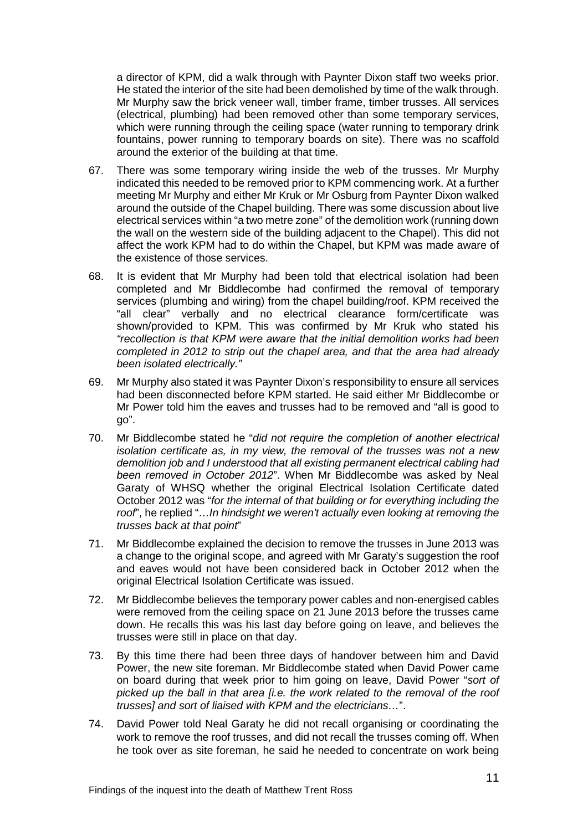a director of KPM, did a walk through with Paynter Dixon staff two weeks prior. He stated the interior of the site had been demolished by time of the walk through. Mr Murphy saw the brick veneer wall, timber frame, timber trusses. All services (electrical, plumbing) had been removed other than some temporary services, which were running through the ceiling space (water running to temporary drink fountains, power running to temporary boards on site). There was no scaffold around the exterior of the building at that time.

- 67. There was some temporary wiring inside the web of the trusses. Mr Murphy indicated this needed to be removed prior to KPM commencing work. At a further meeting Mr Murphy and either Mr Kruk or Mr Osburg from Paynter Dixon walked around the outside of the Chapel building. There was some discussion about live electrical services within "a two metre zone" of the demolition work (running down the wall on the western side of the building adjacent to the Chapel). This did not affect the work KPM had to do within the Chapel, but KPM was made aware of the existence of those services.
- 68. It is evident that Mr Murphy had been told that electrical isolation had been completed and Mr Biddlecombe had confirmed the removal of temporary services (plumbing and wiring) from the chapel building/roof. KPM received the "all clear" verbally and no electrical clearance form/certificate was shown/provided to KPM. This was confirmed by Mr Kruk who stated his *"recollection is that KPM were aware that the initial demolition works had been completed in 2012 to strip out the chapel area, and that the area had already been isolated electrically."*
- 69. Mr Murphy also stated it was Paynter Dixon's responsibility to ensure all services had been disconnected before KPM started. He said either Mr Biddlecombe or Mr Power told him the eaves and trusses had to be removed and "all is good to go".
- 70. Mr Biddlecombe stated he "*did not require the completion of another electrical isolation certificate as, in my view, the removal of the trusses was not a new demolition job and I understood that all existing permanent electrical cabling had been removed in October 2012*". When Mr Biddlecombe was asked by Neal Garaty of WHSQ whether the original Electrical Isolation Certificate dated October 2012 was "*for the internal of that building or for everything including the roof*", he replied "*…In hindsight we weren't actually even looking at removing the trusses back at that point*"
- 71. Mr Biddlecombe explained the decision to remove the trusses in June 2013 was a change to the original scope, and agreed with Mr Garaty's suggestion the roof and eaves would not have been considered back in October 2012 when the original Electrical Isolation Certificate was issued.
- 72. Mr Biddlecombe believes the temporary power cables and non-energised cables were removed from the ceiling space on 21 June 2013 before the trusses came down. He recalls this was his last day before going on leave, and believes the trusses were still in place on that day.
- 73. By this time there had been three days of handover between him and David Power, the new site foreman. Mr Biddlecombe stated when David Power came on board during that week prior to him going on leave, David Power "*sort of picked up the ball in that area [i.e. the work related to the removal of the roof trusses] and sort of liaised with KPM and the electricians…*".
- 74. David Power told Neal Garaty he did not recall organising or coordinating the work to remove the roof trusses, and did not recall the trusses coming off. When he took over as site foreman, he said he needed to concentrate on work being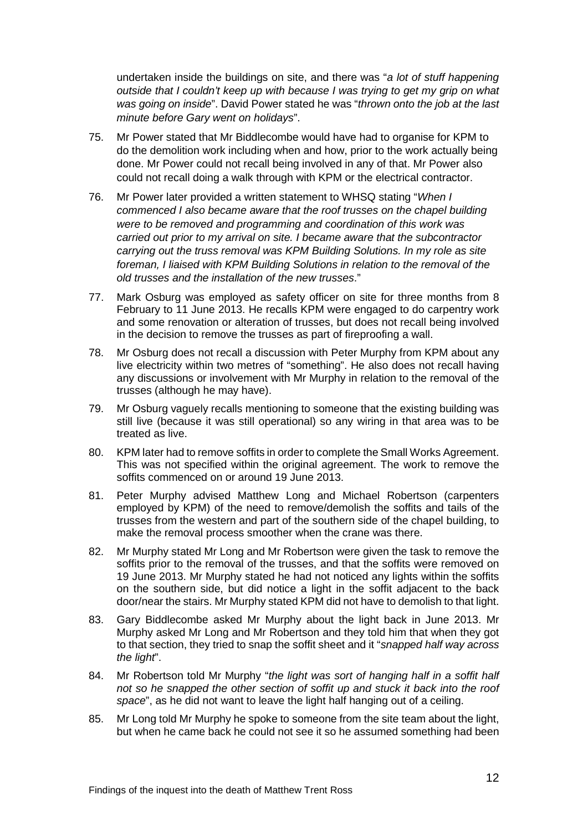undertaken inside the buildings on site, and there was "*a lot of stuff happening outside that I couldn't keep up with because I was trying to get my grip on what was going on inside*". David Power stated he was "*thrown onto the job at the last minute before Gary went on holidays*".

- 75. Mr Power stated that Mr Biddlecombe would have had to organise for KPM to do the demolition work including when and how, prior to the work actually being done. Mr Power could not recall being involved in any of that. Mr Power also could not recall doing a walk through with KPM or the electrical contractor.
- 76. Mr Power later provided a written statement to WHSQ stating "*When I commenced I also became aware that the roof trusses on the chapel building were to be removed and programming and coordination of this work was carried out prior to my arrival on site. I became aware that the subcontractor carrying out the truss removal was KPM Building Solutions. In my role as site foreman, I liaised with KPM Building Solutions in relation to the removal of the old trusses and the installation of the new trusses*."
- 77. Mark Osburg was employed as safety officer on site for three months from 8 February to 11 June 2013. He recalls KPM were engaged to do carpentry work and some renovation or alteration of trusses, but does not recall being involved in the decision to remove the trusses as part of fireproofing a wall.
- 78. Mr Osburg does not recall a discussion with Peter Murphy from KPM about any live electricity within two metres of "something". He also does not recall having any discussions or involvement with Mr Murphy in relation to the removal of the trusses (although he may have).
- 79. Mr Osburg vaguely recalls mentioning to someone that the existing building was still live (because it was still operational) so any wiring in that area was to be treated as live.
- 80. KPM later had to remove soffits in order to complete the Small Works Agreement. This was not specified within the original agreement. The work to remove the soffits commenced on or around 19 June 2013.
- 81. Peter Murphy advised Matthew Long and Michael Robertson (carpenters employed by KPM) of the need to remove/demolish the soffits and tails of the trusses from the western and part of the southern side of the chapel building, to make the removal process smoother when the crane was there.
- 82. Mr Murphy stated Mr Long and Mr Robertson were given the task to remove the soffits prior to the removal of the trusses, and that the soffits were removed on 19 June 2013. Mr Murphy stated he had not noticed any lights within the soffits on the southern side, but did notice a light in the soffit adjacent to the back door/near the stairs. Mr Murphy stated KPM did not have to demolish to that light.
- 83. Gary Biddlecombe asked Mr Murphy about the light back in June 2013. Mr Murphy asked Mr Long and Mr Robertson and they told him that when they got to that section, they tried to snap the soffit sheet and it "*snapped half way across the light*".
- 84. Mr Robertson told Mr Murphy "*the light was sort of hanging half in a soffit half not so he snapped the other section of soffit up and stuck it back into the roof space*", as he did not want to leave the light half hanging out of a ceiling.
- 85. Mr Long told Mr Murphy he spoke to someone from the site team about the light, but when he came back he could not see it so he assumed something had been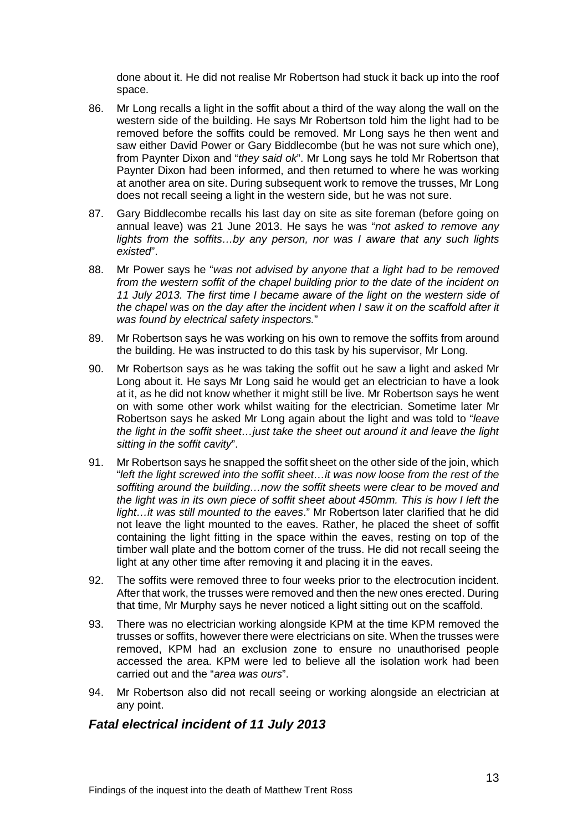done about it. He did not realise Mr Robertson had stuck it back up into the roof space.

- 86. Mr Long recalls a light in the soffit about a third of the way along the wall on the western side of the building. He says Mr Robertson told him the light had to be removed before the soffits could be removed. Mr Long says he then went and saw either David Power or Gary Biddlecombe (but he was not sure which one), from Paynter Dixon and "*they said ok*". Mr Long says he told Mr Robertson that Paynter Dixon had been informed, and then returned to where he was working at another area on site. During subsequent work to remove the trusses, Mr Long does not recall seeing a light in the western side, but he was not sure.
- 87. Gary Biddlecombe recalls his last day on site as site foreman (before going on annual leave) was 21 June 2013. He says he was "*not asked to remove any lights from the soffits…by any person, nor was I aware that any such lights existed*".
- 88. Mr Power says he "*was not advised by anyone that a light had to be removed from the western soffit of the chapel building prior to the date of the incident on 11 July 2013. The first time I became aware of the light on the western side of the chapel was on the day after the incident when I saw it on the scaffold after it was found by electrical safety inspectors.*"
- 89. Mr Robertson says he was working on his own to remove the soffits from around the building. He was instructed to do this task by his supervisor, Mr Long.
- 90. Mr Robertson says as he was taking the soffit out he saw a light and asked Mr Long about it. He says Mr Long said he would get an electrician to have a look at it, as he did not know whether it might still be live. Mr Robertson says he went on with some other work whilst waiting for the electrician. Sometime later Mr Robertson says he asked Mr Long again about the light and was told to "*leave the light in the soffit sheet…just take the sheet out around it and leave the light sitting in the soffit cavity*".
- 91. Mr Robertson says he snapped the soffit sheet on the other side of the join, which "*left the light screwed into the soffit sheet…it was now loose from the rest of the soffiting around the building…now the soffit sheets were clear to be moved and the light was in its own piece of soffit sheet about 450mm. This is how I left the light…it was still mounted to the eaves*." Mr Robertson later clarified that he did not leave the light mounted to the eaves. Rather, he placed the sheet of soffit containing the light fitting in the space within the eaves, resting on top of the timber wall plate and the bottom corner of the truss. He did not recall seeing the light at any other time after removing it and placing it in the eaves.
- 92. The soffits were removed three to four weeks prior to the electrocution incident. After that work, the trusses were removed and then the new ones erected. During that time, Mr Murphy says he never noticed a light sitting out on the scaffold.
- 93. There was no electrician working alongside KPM at the time KPM removed the trusses or soffits, however there were electricians on site. When the trusses were removed, KPM had an exclusion zone to ensure no unauthorised people accessed the area. KPM were led to believe all the isolation work had been carried out and the "*area was ours*".
- 94. Mr Robertson also did not recall seeing or working alongside an electrician at any point.

## <span id="page-14-0"></span>*Fatal electrical incident of 11 July 2013*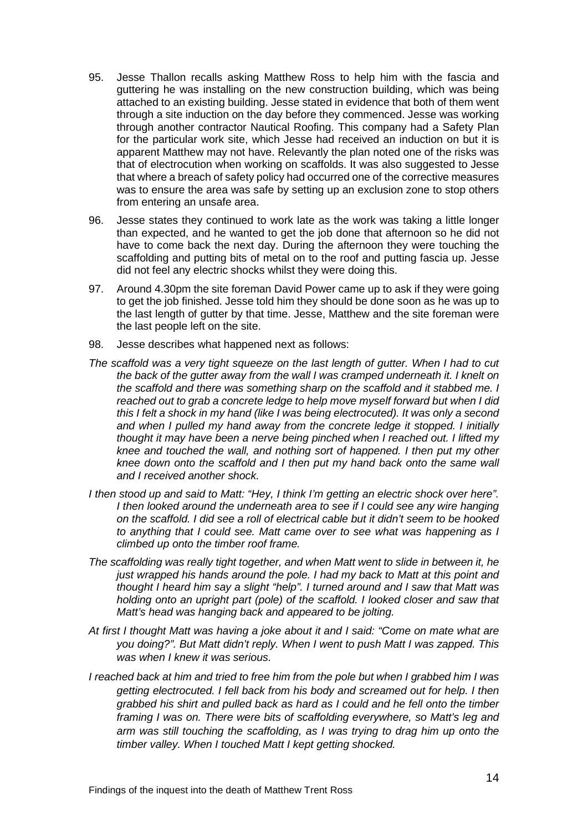- 95. Jesse Thallon recalls asking Matthew Ross to help him with the fascia and guttering he was installing on the new construction building, which was being attached to an existing building. Jesse stated in evidence that both of them went through a site induction on the day before they commenced. Jesse was working through another contractor Nautical Roofing. This company had a Safety Plan for the particular work site, which Jesse had received an induction on but it is apparent Matthew may not have. Relevantly the plan noted one of the risks was that of electrocution when working on scaffolds. It was also suggested to Jesse that where a breach of safety policy had occurred one of the corrective measures was to ensure the area was safe by setting up an exclusion zone to stop others from entering an unsafe area.
- 96. Jesse states they continued to work late as the work was taking a little longer than expected, and he wanted to get the job done that afternoon so he did not have to come back the next day. During the afternoon they were touching the scaffolding and putting bits of metal on to the roof and putting fascia up. Jesse did not feel any electric shocks whilst they were doing this.
- 97. Around 4.30pm the site foreman David Power came up to ask if they were going to get the job finished. Jesse told him they should be done soon as he was up to the last length of gutter by that time. Jesse, Matthew and the site foreman were the last people left on the site.
- 98. Jesse describes what happened next as follows:
- *The scaffold was a very tight squeeze on the last length of gutter. When I had to cut the back of the gutter away from the wall I was cramped underneath it. I knelt on the scaffold and there was something sharp on the scaffold and it stabbed me. I reached out to grab a concrete ledge to help move myself forward but when I did this I felt a shock in my hand (like I was being electrocuted). It was only a second and when I pulled my hand away from the concrete ledge it stopped. I initially thought it may have been a nerve being pinched when I reached out. I lifted my knee and touched the wall, and nothing sort of happened. I then put my other knee down onto the scaffold and I then put my hand back onto the same wall and I received another shock.*
- *I then stood up and said to Matt: "Hey, I think I'm getting an electric shock over here". I* then looked around the underneath area to see if I could see any wire hanging *on the scaffold. I did see a roll of electrical cable but it didn't seem to be hooked to anything that I could see. Matt came over to see what was happening as I climbed up onto the timber roof frame.*
- *The scaffolding was really tight together, and when Matt went to slide in between it, he just wrapped his hands around the pole. I had my back to Matt at this point and thought I heard him say a slight "help". I turned around and I saw that Matt was holding onto an upright part (pole) of the scaffold. I looked closer and saw that Matt's head was hanging back and appeared to be jolting.*
- *At first I thought Matt was having a joke about it and I said: "Come on mate what are you doing?". But Matt didn't reply. When I went to push Matt I was zapped. This was when I knew it was serious.*
- *I reached back at him and tried to free him from the pole but when I grabbed him I was getting electrocuted. I fell back from his body and screamed out for help. I then grabbed his shirt and pulled back as hard as I could and he fell onto the timber framing I was on. There were bits of scaffolding everywhere, so Matt's leg and arm was still touching the scaffolding, as I was trying to drag him up onto the timber valley. When I touched Matt I kept getting shocked.*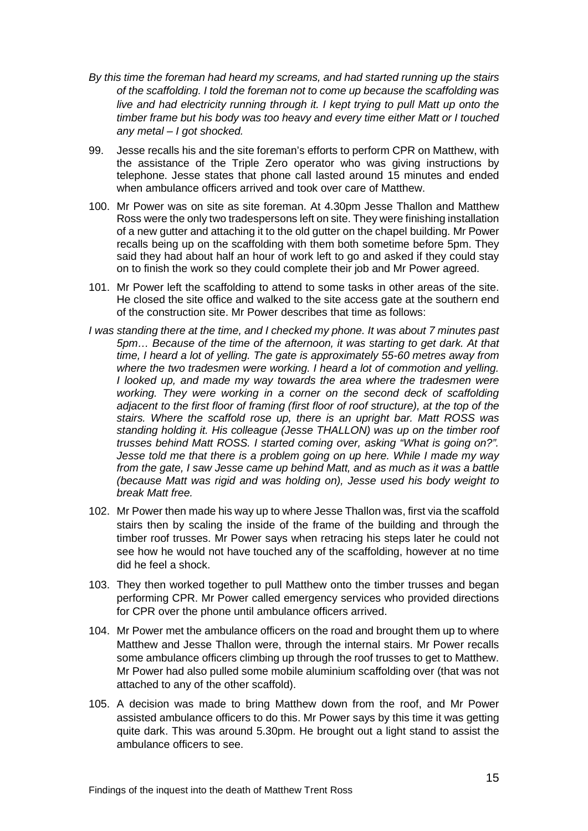- *By this time the foreman had heard my screams, and had started running up the stairs of the scaffolding. I told the foreman not to come up because the scaffolding was live and had electricity running through it. I kept trying to pull Matt up onto the timber frame but his body was too heavy and every time either Matt or I touched any metal – I got shocked.*
- 99. Jesse recalls his and the site foreman's efforts to perform CPR on Matthew, with the assistance of the Triple Zero operator who was giving instructions by telephone. Jesse states that phone call lasted around 15 minutes and ended when ambulance officers arrived and took over care of Matthew.
- 100. Mr Power was on site as site foreman. At 4.30pm Jesse Thallon and Matthew Ross were the only two tradespersons left on site. They were finishing installation of a new gutter and attaching it to the old gutter on the chapel building. Mr Power recalls being up on the scaffolding with them both sometime before 5pm. They said they had about half an hour of work left to go and asked if they could stay on to finish the work so they could complete their job and Mr Power agreed.
- 101. Mr Power left the scaffolding to attend to some tasks in other areas of the site. He closed the site office and walked to the site access gate at the southern end of the construction site. Mr Power describes that time as follows:
- *I was standing there at the time, and I checked my phone. It was about 7 minutes past 5pm… Because of the time of the afternoon, it was starting to get dark. At that time, I heard a lot of yelling. The gate is approximately 55-60 metres away from where the two tradesmen were working. I heard a lot of commotion and yelling. I looked up, and made my way towards the area where the tradesmen were*  working. They were working in a corner on the second deck of scaffolding *adjacent to the first floor of framing (first floor of roof structure), at the top of the stairs. Where the scaffold rose up, there is an upright bar. Matt ROSS was standing holding it. His colleague (Jesse THALLON) was up on the timber roof trusses behind Matt ROSS. I started coming over, asking "What is going on?". Jesse told me that there is a problem going on up here. While I made my way from the gate, I saw Jesse came up behind Matt, and as much as it was a battle (because Matt was rigid and was holding on), Jesse used his body weight to break Matt free.*
- 102. Mr Power then made his way up to where Jesse Thallon was, first via the scaffold stairs then by scaling the inside of the frame of the building and through the timber roof trusses. Mr Power says when retracing his steps later he could not see how he would not have touched any of the scaffolding, however at no time did he feel a shock.
- 103. They then worked together to pull Matthew onto the timber trusses and began performing CPR. Mr Power called emergency services who provided directions for CPR over the phone until ambulance officers arrived.
- 104. Mr Power met the ambulance officers on the road and brought them up to where Matthew and Jesse Thallon were, through the internal stairs. Mr Power recalls some ambulance officers climbing up through the roof trusses to get to Matthew. Mr Power had also pulled some mobile aluminium scaffolding over (that was not attached to any of the other scaffold).
- 105. A decision was made to bring Matthew down from the roof, and Mr Power assisted ambulance officers to do this. Mr Power says by this time it was getting quite dark. This was around 5.30pm. He brought out a light stand to assist the ambulance officers to see.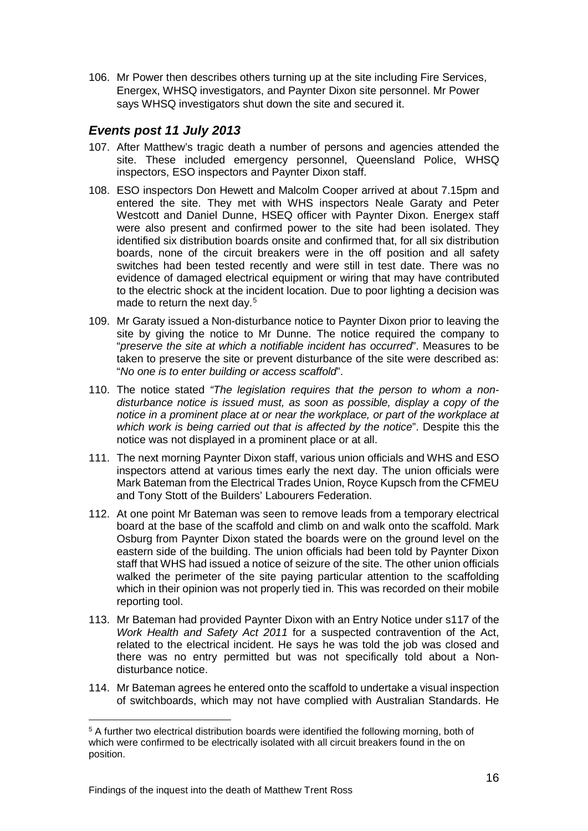106. Mr Power then describes others turning up at the site including Fire Services, Energex, WHSQ investigators, and Paynter Dixon site personnel. Mr Power says WHSQ investigators shut down the site and secured it.

## <span id="page-17-0"></span>*Events post 11 July 2013*

- 107. After Matthew's tragic death a number of persons and agencies attended the site. These included emergency personnel, Queensland Police, WHSQ inspectors, ESO inspectors and Paynter Dixon staff.
- 108. ESO inspectors Don Hewett and Malcolm Cooper arrived at about 7.15pm and entered the site. They met with WHS inspectors Neale Garaty and Peter Westcott and Daniel Dunne, HSEQ officer with Paynter Dixon. Energex staff were also present and confirmed power to the site had been isolated. They identified six distribution boards onsite and confirmed that, for all six distribution boards, none of the circuit breakers were in the off position and all safety switches had been tested recently and were still in test date. There was no evidence of damaged electrical equipment or wiring that may have contributed to the electric shock at the incident location. Due to poor lighting a decision was made to return the next day.<sup>[5](#page-17-1)</sup>
- 109. Mr Garaty issued a Non-disturbance notice to Paynter Dixon prior to leaving the site by giving the notice to Mr Dunne. The notice required the company to "*preserve the site at which a notifiable incident has occurred*". Measures to be taken to preserve the site or prevent disturbance of the site were described as: "*No one is to enter building or access scaffold*".
- 110. The notice stated *"The legislation requires that the person to whom a nondisturbance notice is issued must, as soon as possible, display a copy of the notice in a prominent place at or near the workplace, or part of the workplace at which work is being carried out that is affected by the notice*". Despite this the notice was not displayed in a prominent place or at all.
- 111. The next morning Paynter Dixon staff, various union officials and WHS and ESO inspectors attend at various times early the next day. The union officials were Mark Bateman from the Electrical Trades Union, Royce Kupsch from the CFMEU and Tony Stott of the Builders' Labourers Federation.
- 112. At one point Mr Bateman was seen to remove leads from a temporary electrical board at the base of the scaffold and climb on and walk onto the scaffold. Mark Osburg from Paynter Dixon stated the boards were on the ground level on the eastern side of the building. The union officials had been told by Paynter Dixon staff that WHS had issued a notice of seizure of the site. The other union officials walked the perimeter of the site paying particular attention to the scaffolding which in their opinion was not properly tied in. This was recorded on their mobile reporting tool.
- 113. Mr Bateman had provided Paynter Dixon with an Entry Notice under s117 of the *Work Health and Safety Act 2011* for a suspected contravention of the Act, related to the electrical incident. He says he was told the job was closed and there was no entry permitted but was not specifically told about a Nondisturbance notice.
- 114. Mr Bateman agrees he entered onto the scaffold to undertake a visual inspection of switchboards, which may not have complied with Australian Standards. He

 $\overline{a}$ 

<span id="page-17-1"></span><sup>5</sup> A further two electrical distribution boards were identified the following morning, both of which were confirmed to be electrically isolated with all circuit breakers found in the on position.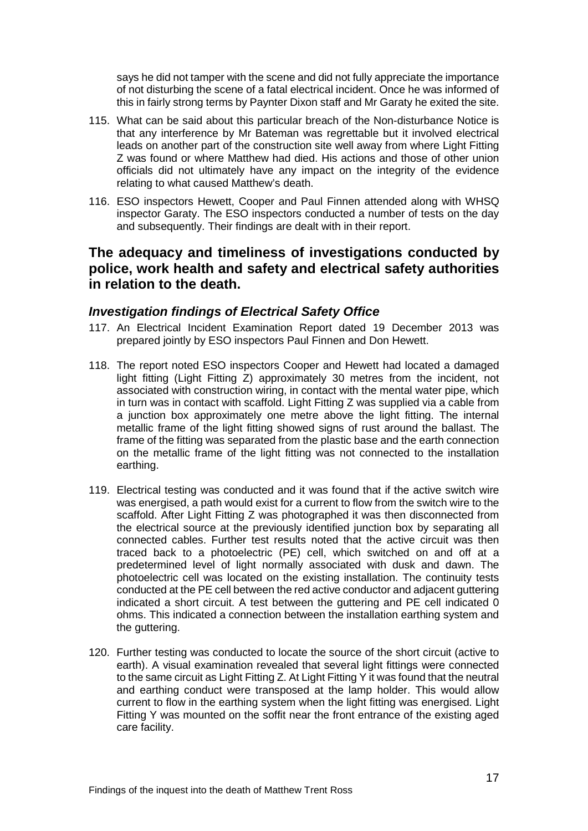says he did not tamper with the scene and did not fully appreciate the importance of not disturbing the scene of a fatal electrical incident. Once he was informed of this in fairly strong terms by Paynter Dixon staff and Mr Garaty he exited the site.

- 115. What can be said about this particular breach of the Non-disturbance Notice is that any interference by Mr Bateman was regrettable but it involved electrical leads on another part of the construction site well away from where Light Fitting Z was found or where Matthew had died. His actions and those of other union officials did not ultimately have any impact on the integrity of the evidence relating to what caused Matthew's death.
- 116. ESO inspectors Hewett, Cooper and Paul Finnen attended along with WHSQ inspector Garaty. The ESO inspectors conducted a number of tests on the day and subsequently. Their findings are dealt with in their report.

# <span id="page-18-0"></span>**The adequacy and timeliness of investigations conducted by police, work health and safety and electrical safety authorities in relation to the death.**

## <span id="page-18-1"></span>*Investigation findings of Electrical Safety Office*

- 117. An Electrical Incident Examination Report dated 19 December 2013 was prepared jointly by ESO inspectors Paul Finnen and Don Hewett.
- 118. The report noted ESO inspectors Cooper and Hewett had located a damaged light fitting (Light Fitting Z) approximately 30 metres from the incident, not associated with construction wiring, in contact with the mental water pipe, which in turn was in contact with scaffold. Light Fitting Z was supplied via a cable from a junction box approximately one metre above the light fitting. The internal metallic frame of the light fitting showed signs of rust around the ballast. The frame of the fitting was separated from the plastic base and the earth connection on the metallic frame of the light fitting was not connected to the installation earthing.
- 119. Electrical testing was conducted and it was found that if the active switch wire was energised, a path would exist for a current to flow from the switch wire to the scaffold. After Light Fitting Z was photographed it was then disconnected from the electrical source at the previously identified junction box by separating all connected cables. Further test results noted that the active circuit was then traced back to a photoelectric (PE) cell, which switched on and off at a predetermined level of light normally associated with dusk and dawn. The photoelectric cell was located on the existing installation. The continuity tests conducted at the PE cell between the red active conductor and adjacent guttering indicated a short circuit. A test between the guttering and PE cell indicated 0 ohms. This indicated a connection between the installation earthing system and the guttering.
- 120. Further testing was conducted to locate the source of the short circuit (active to earth). A visual examination revealed that several light fittings were connected to the same circuit as Light Fitting Z. At Light Fitting Y it was found that the neutral and earthing conduct were transposed at the lamp holder. This would allow current to flow in the earthing system when the light fitting was energised. Light Fitting Y was mounted on the soffit near the front entrance of the existing aged care facility.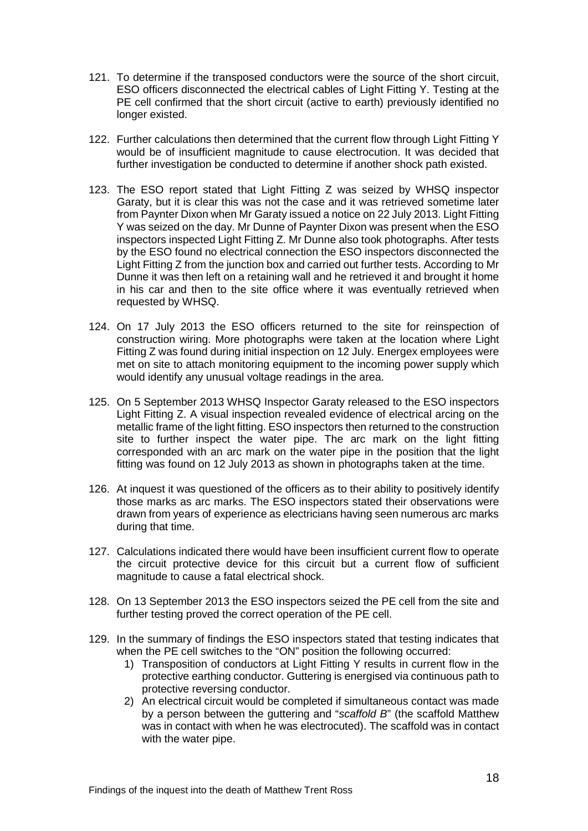- 121. To determine if the transposed conductors were the source of the short circuit, ESO officers disconnected the electrical cables of Light Fitting Y. Testing at the PE cell confirmed that the short circuit (active to earth) previously identified no longer existed.
- 122. Further calculations then determined that the current flow through Light Fitting Y would be of insufficient magnitude to cause electrocution. It was decided that further investigation be conducted to determine if another shock path existed.
- 123. The ESO report stated that Light Fitting Z was seized by WHSQ inspector Garaty, but it is clear this was not the case and it was retrieved sometime later from Paynter Dixon when Mr Garaty issued a notice on 22 July 2013. Light Fitting Y was seized on the day. Mr Dunne of Paynter Dixon was present when the ESO inspectors inspected Light Fitting Z. Mr Dunne also took photographs. After tests by the ESO found no electrical connection the ESO inspectors disconnected the Light Fitting Z from the junction box and carried out further tests. According to Mr Dunne it was then left on a retaining wall and he retrieved it and brought it home in his car and then to the site office where it was eventually retrieved when requested by WHSQ.
- 124. On 17 July 2013 the ESO officers returned to the site for reinspection of construction wiring. More photographs were taken at the location where Light Fitting Z was found during initial inspection on 12 July. Energex employees were met on site to attach monitoring equipment to the incoming power supply which would identify any unusual voltage readings in the area.
- 125. On 5 September 2013 WHSQ Inspector Garaty released to the ESO inspectors Light Fitting Z. A visual inspection revealed evidence of electrical arcing on the metallic frame of the light fitting. ESO inspectors then returned to the construction site to further inspect the water pipe. The arc mark on the light fitting corresponded with an arc mark on the water pipe in the position that the light fitting was found on 12 July 2013 as shown in photographs taken at the time.
- 126. At inquest it was questioned of the officers as to their ability to positively identify those marks as arc marks. The ESO inspectors stated their observations were drawn from years of experience as electricians having seen numerous arc marks during that time.
- 127. Calculations indicated there would have been insufficient current flow to operate the circuit protective device for this circuit but a current flow of sufficient magnitude to cause a fatal electrical shock.
- 128. On 13 September 2013 the ESO inspectors seized the PE cell from the site and further testing proved the correct operation of the PE cell.
- 129. In the summary of findings the ESO inspectors stated that testing indicates that when the PE cell switches to the "ON" position the following occurred:
	- 1) Transposition of conductors at Light Fitting Y results in current flow in the protective earthing conductor. Guttering is energised via continuous path to protective reversing conductor.
	- 2) An electrical circuit would be completed if simultaneous contact was made by a person between the guttering and "*scaffold B*" (the scaffold Matthew was in contact with when he was electrocuted). The scaffold was in contact with the water pipe.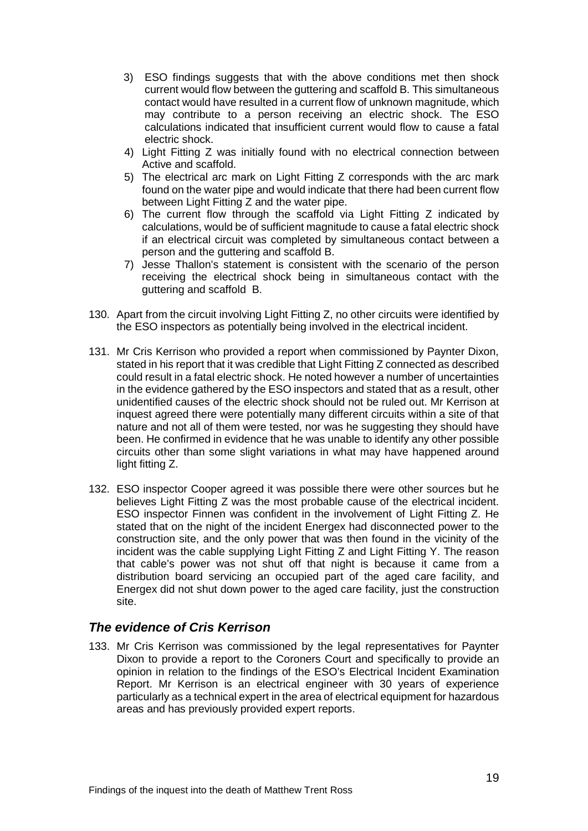- 3) ESO findings suggests that with the above conditions met then shock current would flow between the guttering and scaffold B. This simultaneous contact would have resulted in a current flow of unknown magnitude, which may contribute to a person receiving an electric shock. The ESO calculations indicated that insufficient current would flow to cause a fatal electric shock.
- 4) Light Fitting Z was initially found with no electrical connection between Active and scaffold.
- 5) The electrical arc mark on Light Fitting Z corresponds with the arc mark found on the water pipe and would indicate that there had been current flow between Light Fitting Z and the water pipe.
- 6) The current flow through the scaffold via Light Fitting Z indicated by calculations, would be of sufficient magnitude to cause a fatal electric shock if an electrical circuit was completed by simultaneous contact between a person and the guttering and scaffold B.
- 7) Jesse Thallon's statement is consistent with the scenario of the person receiving the electrical shock being in simultaneous contact with the guttering and scaffold B.
- 130. Apart from the circuit involving Light Fitting Z, no other circuits were identified by the ESO inspectors as potentially being involved in the electrical incident.
- 131. Mr Cris Kerrison who provided a report when commissioned by Paynter Dixon, stated in his report that it was credible that Light Fitting Z connected as described could result in a fatal electric shock. He noted however a number of uncertainties in the evidence gathered by the ESO inspectors and stated that as a result, other unidentified causes of the electric shock should not be ruled out. Mr Kerrison at inquest agreed there were potentially many different circuits within a site of that nature and not all of them were tested, nor was he suggesting they should have been. He confirmed in evidence that he was unable to identify any other possible circuits other than some slight variations in what may have happened around light fitting Z.
- 132. ESO inspector Cooper agreed it was possible there were other sources but he believes Light Fitting Z was the most probable cause of the electrical incident. ESO inspector Finnen was confident in the involvement of Light Fitting Z. He stated that on the night of the incident Energex had disconnected power to the construction site, and the only power that was then found in the vicinity of the incident was the cable supplying Light Fitting Z and Light Fitting Y. The reason that cable's power was not shut off that night is because it came from a distribution board servicing an occupied part of the aged care facility, and Energex did not shut down power to the aged care facility, just the construction site.

## <span id="page-20-0"></span>*The evidence of Cris Kerrison*

133. Mr Cris Kerrison was commissioned by the legal representatives for Paynter Dixon to provide a report to the Coroners Court and specifically to provide an opinion in relation to the findings of the ESO's Electrical Incident Examination Report. Mr Kerrison is an electrical engineer with 30 years of experience particularly as a technical expert in the area of electrical equipment for hazardous areas and has previously provided expert reports.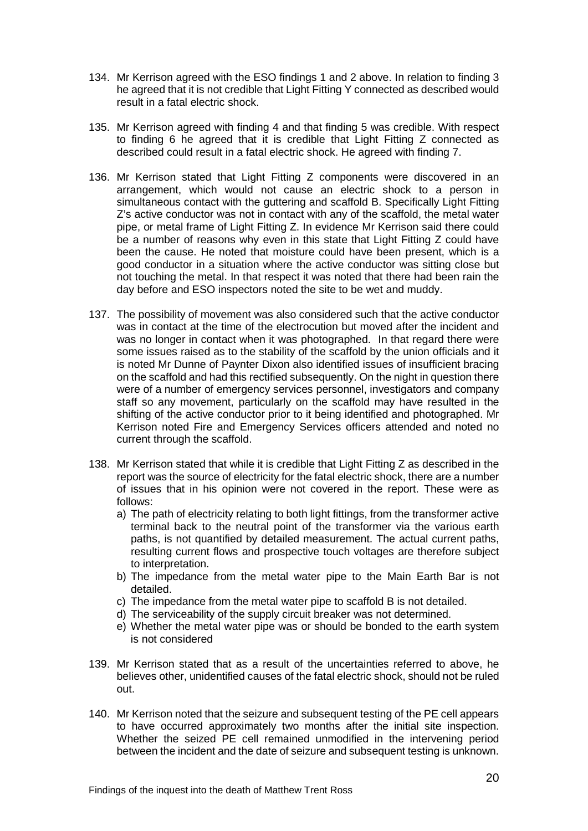- 134. Mr Kerrison agreed with the ESO findings 1 and 2 above. In relation to finding 3 he agreed that it is not credible that Light Fitting Y connected as described would result in a fatal electric shock.
- 135. Mr Kerrison agreed with finding 4 and that finding 5 was credible. With respect to finding 6 he agreed that it is credible that Light Fitting Z connected as described could result in a fatal electric shock. He agreed with finding 7.
- 136. Mr Kerrison stated that Light Fitting Z components were discovered in an arrangement, which would not cause an electric shock to a person in simultaneous contact with the guttering and scaffold B. Specifically Light Fitting Z's active conductor was not in contact with any of the scaffold, the metal water pipe, or metal frame of Light Fitting Z. In evidence Mr Kerrison said there could be a number of reasons why even in this state that Light Fitting Z could have been the cause. He noted that moisture could have been present, which is a good conductor in a situation where the active conductor was sitting close but not touching the metal. In that respect it was noted that there had been rain the day before and ESO inspectors noted the site to be wet and muddy.
- 137. The possibility of movement was also considered such that the active conductor was in contact at the time of the electrocution but moved after the incident and was no longer in contact when it was photographed. In that regard there were some issues raised as to the stability of the scaffold by the union officials and it is noted Mr Dunne of Paynter Dixon also identified issues of insufficient bracing on the scaffold and had this rectified subsequently. On the night in question there were of a number of emergency services personnel, investigators and company staff so any movement, particularly on the scaffold may have resulted in the shifting of the active conductor prior to it being identified and photographed. Mr Kerrison noted Fire and Emergency Services officers attended and noted no current through the scaffold.
- 138. Mr Kerrison stated that while it is credible that Light Fitting Z as described in the report was the source of electricity for the fatal electric shock, there are a number of issues that in his opinion were not covered in the report. These were as follows:
	- a) The path of electricity relating to both light fittings, from the transformer active terminal back to the neutral point of the transformer via the various earth paths, is not quantified by detailed measurement. The actual current paths, resulting current flows and prospective touch voltages are therefore subject to interpretation.
	- b) The impedance from the metal water pipe to the Main Earth Bar is not detailed.
	- c) The impedance from the metal water pipe to scaffold B is not detailed.
	- d) The serviceability of the supply circuit breaker was not determined.
	- e) Whether the metal water pipe was or should be bonded to the earth system is not considered
- 139. Mr Kerrison stated that as a result of the uncertainties referred to above, he believes other, unidentified causes of the fatal electric shock, should not be ruled out.
- 140. Mr Kerrison noted that the seizure and subsequent testing of the PE cell appears to have occurred approximately two months after the initial site inspection. Whether the seized PE cell remained unmodified in the intervening period between the incident and the date of seizure and subsequent testing is unknown.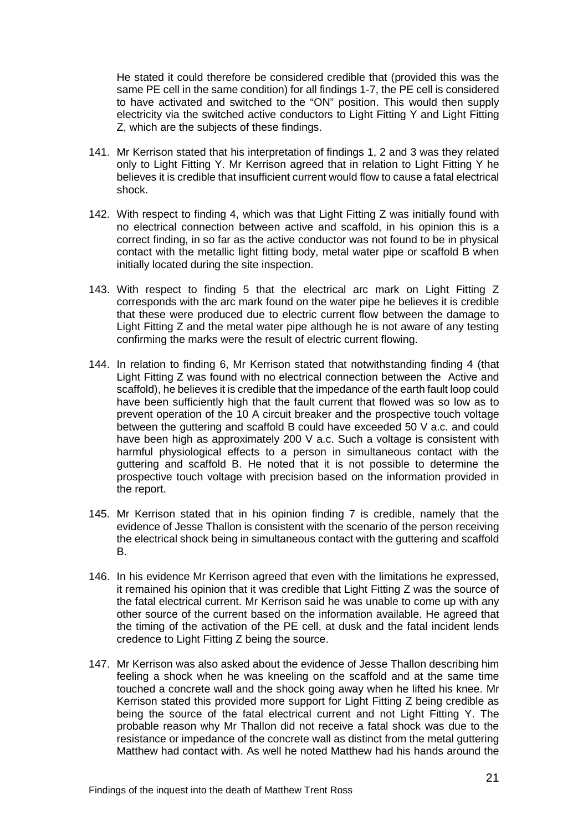He stated it could therefore be considered credible that (provided this was the same PE cell in the same condition) for all findings 1-7, the PE cell is considered to have activated and switched to the "ON" position. This would then supply electricity via the switched active conductors to Light Fitting Y and Light Fitting Z, which are the subjects of these findings.

- 141. Mr Kerrison stated that his interpretation of findings 1, 2 and 3 was they related only to Light Fitting Y. Mr Kerrison agreed that in relation to Light Fitting Y he believes it is credible that insufficient current would flow to cause a fatal electrical shock.
- 142. With respect to finding 4, which was that Light Fitting Z was initially found with no electrical connection between active and scaffold, in his opinion this is a correct finding, in so far as the active conductor was not found to be in physical contact with the metallic light fitting body, metal water pipe or scaffold B when initially located during the site inspection.
- 143. With respect to finding 5 that the electrical arc mark on Light Fitting Z corresponds with the arc mark found on the water pipe he believes it is credible that these were produced due to electric current flow between the damage to Light Fitting Z and the metal water pipe although he is not aware of any testing confirming the marks were the result of electric current flowing.
- 144. In relation to finding 6, Mr Kerrison stated that notwithstanding finding 4 (that Light Fitting Z was found with no electrical connection between the Active and scaffold), he believes it is credible that the impedance of the earth fault loop could have been sufficiently high that the fault current that flowed was so low as to prevent operation of the 10 A circuit breaker and the prospective touch voltage between the guttering and scaffold B could have exceeded 50 V a.c. and could have been high as approximately 200 V a.c. Such a voltage is consistent with harmful physiological effects to a person in simultaneous contact with the guttering and scaffold B. He noted that it is not possible to determine the prospective touch voltage with precision based on the information provided in the report.
- 145. Mr Kerrison stated that in his opinion finding 7 is credible, namely that the evidence of Jesse Thallon is consistent with the scenario of the person receiving the electrical shock being in simultaneous contact with the guttering and scaffold B.
- 146. In his evidence Mr Kerrison agreed that even with the limitations he expressed, it remained his opinion that it was credible that Light Fitting Z was the source of the fatal electrical current. Mr Kerrison said he was unable to come up with any other source of the current based on the information available. He agreed that the timing of the activation of the PE cell, at dusk and the fatal incident lends credence to Light Fitting Z being the source.
- 147. Mr Kerrison was also asked about the evidence of Jesse Thallon describing him feeling a shock when he was kneeling on the scaffold and at the same time touched a concrete wall and the shock going away when he lifted his knee. Mr Kerrison stated this provided more support for Light Fitting Z being credible as being the source of the fatal electrical current and not Light Fitting Y. The probable reason why Mr Thallon did not receive a fatal shock was due to the resistance or impedance of the concrete wall as distinct from the metal guttering Matthew had contact with. As well he noted Matthew had his hands around the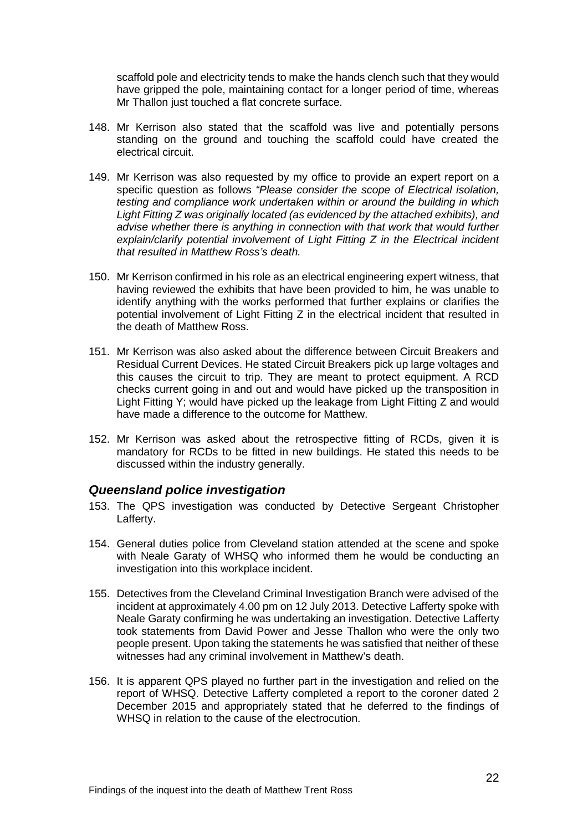scaffold pole and electricity tends to make the hands clench such that they would have gripped the pole, maintaining contact for a longer period of time, whereas Mr Thallon just touched a flat concrete surface.

- 148. Mr Kerrison also stated that the scaffold was live and potentially persons standing on the ground and touching the scaffold could have created the electrical circuit.
- 149. Mr Kerrison was also requested by my office to provide an expert report on a specific question as follows *"Please consider the scope of Electrical isolation, testing and compliance work undertaken within or around the building in which Light Fitting Z was originally located (as evidenced by the attached exhibits), and advise whether there is anything in connection with that work that would further explain/clarify potential involvement of Light Fitting Z in the Electrical incident that resulted in Matthew Ross's death.*
- 150. Mr Kerrison confirmed in his role as an electrical engineering expert witness, that having reviewed the exhibits that have been provided to him, he was unable to identify anything with the works performed that further explains or clarifies the potential involvement of Light Fitting Z in the electrical incident that resulted in the death of Matthew Ross.
- 151. Mr Kerrison was also asked about the difference between Circuit Breakers and Residual Current Devices. He stated Circuit Breakers pick up large voltages and this causes the circuit to trip. They are meant to protect equipment. A RCD checks current going in and out and would have picked up the transposition in Light Fitting Y; would have picked up the leakage from Light Fitting Z and would have made a difference to the outcome for Matthew.
- 152. Mr Kerrison was asked about the retrospective fitting of RCDs, given it is mandatory for RCDs to be fitted in new buildings. He stated this needs to be discussed within the industry generally.

#### <span id="page-23-0"></span>*Queensland police investigation*

- 153. The QPS investigation was conducted by Detective Sergeant Christopher Lafferty.
- 154. General duties police from Cleveland station attended at the scene and spoke with Neale Garaty of WHSQ who informed them he would be conducting an investigation into this workplace incident.
- 155. Detectives from the Cleveland Criminal Investigation Branch were advised of the incident at approximately 4.00 pm on 12 July 2013. Detective Lafferty spoke with Neale Garaty confirming he was undertaking an investigation. Detective Lafferty took statements from David Power and Jesse Thallon who were the only two people present. Upon taking the statements he was satisfied that neither of these witnesses had any criminal involvement in Matthew's death.
- 156. It is apparent QPS played no further part in the investigation and relied on the report of WHSQ. Detective Lafferty completed a report to the coroner dated 2 December 2015 and appropriately stated that he deferred to the findings of WHSQ in relation to the cause of the electrocution.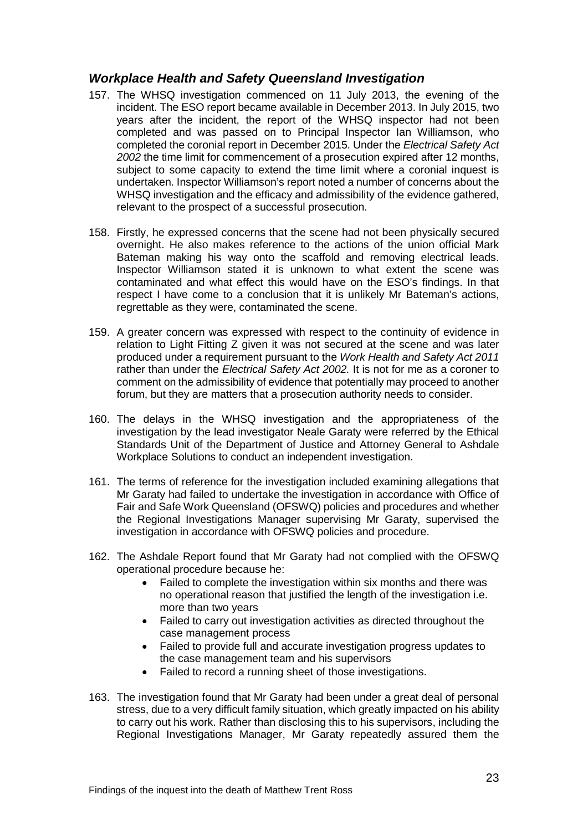## <span id="page-24-0"></span>*Workplace Health and Safety Queensland Investigation*

- 157. The WHSQ investigation commenced on 11 July 2013, the evening of the incident. The ESO report became available in December 2013. In July 2015, two years after the incident, the report of the WHSQ inspector had not been completed and was passed on to Principal Inspector Ian Williamson, who completed the coronial report in December 2015. Under the *Electrical Safety Act 2002* the time limit for commencement of a prosecution expired after 12 months, subject to some capacity to extend the time limit where a coronial inquest is undertaken. Inspector Williamson's report noted a number of concerns about the WHSQ investigation and the efficacy and admissibility of the evidence gathered, relevant to the prospect of a successful prosecution.
- 158. Firstly, he expressed concerns that the scene had not been physically secured overnight. He also makes reference to the actions of the union official Mark Bateman making his way onto the scaffold and removing electrical leads. Inspector Williamson stated it is unknown to what extent the scene was contaminated and what effect this would have on the ESO's findings. In that respect I have come to a conclusion that it is unlikely Mr Bateman's actions, regrettable as they were, contaminated the scene.
- 159. A greater concern was expressed with respect to the continuity of evidence in relation to Light Fitting Z given it was not secured at the scene and was later produced under a requirement pursuant to the *Work Health and Safety Act 2011* rather than under the *Electrical Safety Act 2002.* It is not for me as a coroner to comment on the admissibility of evidence that potentially may proceed to another forum, but they are matters that a prosecution authority needs to consider.
- 160. The delays in the WHSQ investigation and the appropriateness of the investigation by the lead investigator Neale Garaty were referred by the Ethical Standards Unit of the Department of Justice and Attorney General to Ashdale Workplace Solutions to conduct an independent investigation.
- 161. The terms of reference for the investigation included examining allegations that Mr Garaty had failed to undertake the investigation in accordance with Office of Fair and Safe Work Queensland (OFSWQ) policies and procedures and whether the Regional Investigations Manager supervising Mr Garaty, supervised the investigation in accordance with OFSWQ policies and procedure.
- 162. The Ashdale Report found that Mr Garaty had not complied with the OFSWQ operational procedure because he:
	- Failed to complete the investigation within six months and there was no operational reason that justified the length of the investigation i.e. more than two years
	- Failed to carry out investigation activities as directed throughout the case management process
	- Failed to provide full and accurate investigation progress updates to the case management team and his supervisors
	- Failed to record a running sheet of those investigations.
- 163. The investigation found that Mr Garaty had been under a great deal of personal stress, due to a very difficult family situation, which greatly impacted on his ability to carry out his work. Rather than disclosing this to his supervisors, including the Regional Investigations Manager, Mr Garaty repeatedly assured them the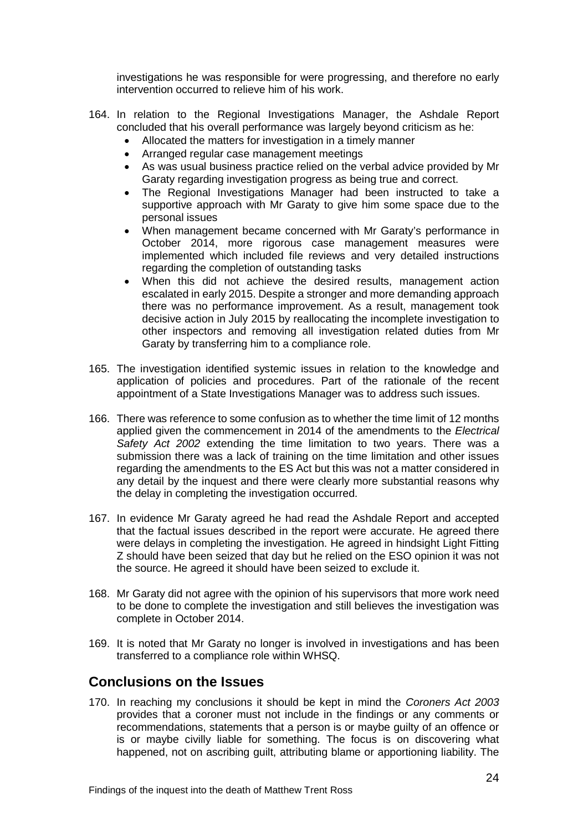investigations he was responsible for were progressing, and therefore no early intervention occurred to relieve him of his work.

- 164. In relation to the Regional Investigations Manager, the Ashdale Report concluded that his overall performance was largely beyond criticism as he:
	- Allocated the matters for investigation in a timely manner
	- Arranged regular case management meetings
	- As was usual business practice relied on the verbal advice provided by Mr Garaty regarding investigation progress as being true and correct.
	- The Regional Investigations Manager had been instructed to take a supportive approach with Mr Garaty to give him some space due to the personal issues
	- When management became concerned with Mr Garaty's performance in October 2014, more rigorous case management measures were implemented which included file reviews and very detailed instructions regarding the completion of outstanding tasks
	- When this did not achieve the desired results, management action escalated in early 2015. Despite a stronger and more demanding approach there was no performance improvement. As a result, management took decisive action in July 2015 by reallocating the incomplete investigation to other inspectors and removing all investigation related duties from Mr Garaty by transferring him to a compliance role.
- 165. The investigation identified systemic issues in relation to the knowledge and application of policies and procedures. Part of the rationale of the recent appointment of a State Investigations Manager was to address such issues.
- 166. There was reference to some confusion as to whether the time limit of 12 months applied given the commencement in 2014 of the amendments to the *Electrical Safety Act 2002* extending the time limitation to two years. There was a submission there was a lack of training on the time limitation and other issues regarding the amendments to the ES Act but this was not a matter considered in any detail by the inquest and there were clearly more substantial reasons why the delay in completing the investigation occurred.
- 167. In evidence Mr Garaty agreed he had read the Ashdale Report and accepted that the factual issues described in the report were accurate. He agreed there were delays in completing the investigation. He agreed in hindsight Light Fitting Z should have been seized that day but he relied on the ESO opinion it was not the source. He agreed it should have been seized to exclude it.
- 168. Mr Garaty did not agree with the opinion of his supervisors that more work need to be done to complete the investigation and still believes the investigation was complete in October 2014.
- 169. It is noted that Mr Garaty no longer is involved in investigations and has been transferred to a compliance role within WHSQ.

# <span id="page-25-0"></span>**Conclusions on the Issues**

170. In reaching my conclusions it should be kept in mind the *Coroners Act 2003*  provides that a coroner must not include in the findings or any comments or recommendations, statements that a person is or maybe guilty of an offence or is or maybe civilly liable for something. The focus is on discovering what happened, not on ascribing guilt, attributing blame or apportioning liability. The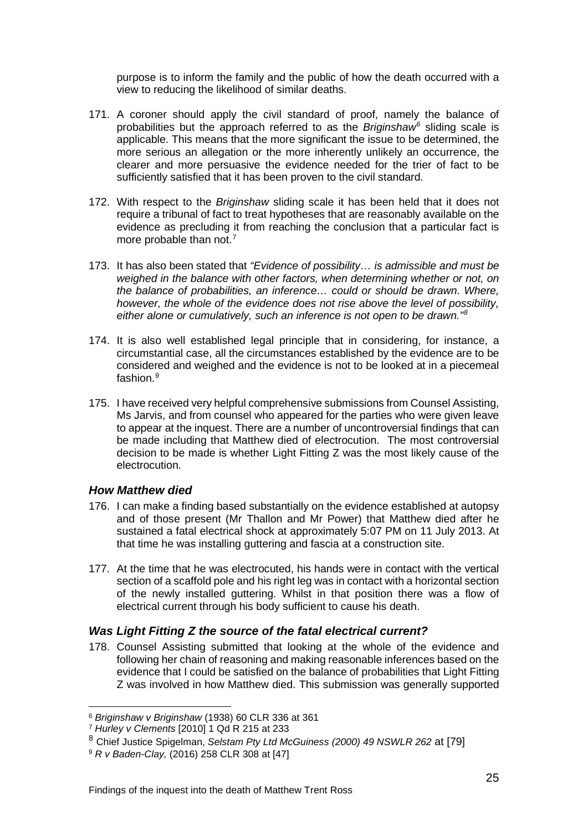purpose is to inform the family and the public of how the death occurred with a view to reducing the likelihood of similar deaths.

- 171. A coroner should apply the civil standard of proof, namely the balance of probabilities but the approach referred to as the *Briginshaw[6](#page-26-2)* sliding scale is applicable. This means that the more significant the issue to be determined, the more serious an allegation or the more inherently unlikely an occurrence, the clearer and more persuasive the evidence needed for the trier of fact to be sufficiently satisfied that it has been proven to the civil standard.
- 172. With respect to the *Briginshaw* sliding scale it has been held that it does not require a tribunal of fact to treat hypotheses that are reasonably available on the evidence as precluding it from reaching the conclusion that a particular fact is more probable than not.<sup>[7](#page-26-3)</sup>
- 173. It has also been stated that *"Evidence of possibility… is admissible and must be weighed in the balance with other factors, when determining whether or not, on the balance of probabilities, an inference… could or should be drawn. Where, however, the whole of the evidence does not rise above the level of possibility, either alone or cumulatively, such an inference is not open to be drawn."[8](#page-26-4)*
- 174. It is also well established legal principle that in considering, for instance, a circumstantial case, all the circumstances established by the evidence are to be considered and weighed and the evidence is not to be looked at in a piecemeal fashion. [9](#page-26-5)
- 175. I have received very helpful comprehensive submissions from Counsel Assisting, Ms Jarvis, and from counsel who appeared for the parties who were given leave to appear at the inquest. There are a number of uncontroversial findings that can be made including that Matthew died of electrocution. The most controversial decision to be made is whether Light Fitting Z was the most likely cause of the electrocution.

#### <span id="page-26-0"></span>*How Matthew died*

 $\overline{a}$ 

- 176. I can make a finding based substantially on the evidence established at autopsy and of those present (Mr Thallon and Mr Power) that Matthew died after he sustained a fatal electrical shock at approximately 5:07 PM on 11 July 2013. At that time he was installing guttering and fascia at a construction site.
- 177. At the time that he was electrocuted, his hands were in contact with the vertical section of a scaffold pole and his right leg was in contact with a horizontal section of the newly installed guttering. Whilst in that position there was a flow of electrical current through his body sufficient to cause his death.

## <span id="page-26-1"></span>*Was Light Fitting Z the source of the fatal electrical current?*

178. Counsel Assisting submitted that looking at the whole of the evidence and following her chain of reasoning and making reasonable inferences based on the evidence that I could be satisfied on the balance of probabilities that Light Fitting Z was involved in how Matthew died. This submission was generally supported

<span id="page-26-2"></span><sup>6</sup> *Briginshaw v Briginshaw* (1938) 60 CLR 336 at 361 7 *Hurley v Clements* [2010] 1 Qd R 215 at 233

<span id="page-26-3"></span>

<span id="page-26-4"></span><sup>8</sup> Chief Justice Spigelman, *Selstam Pty Ltd McGuiness (2000) 49 NSWLR 262* at [79]

<span id="page-26-5"></span><sup>9</sup> *R v Baden-Clay,* (2016) 258 CLR 308 at [47]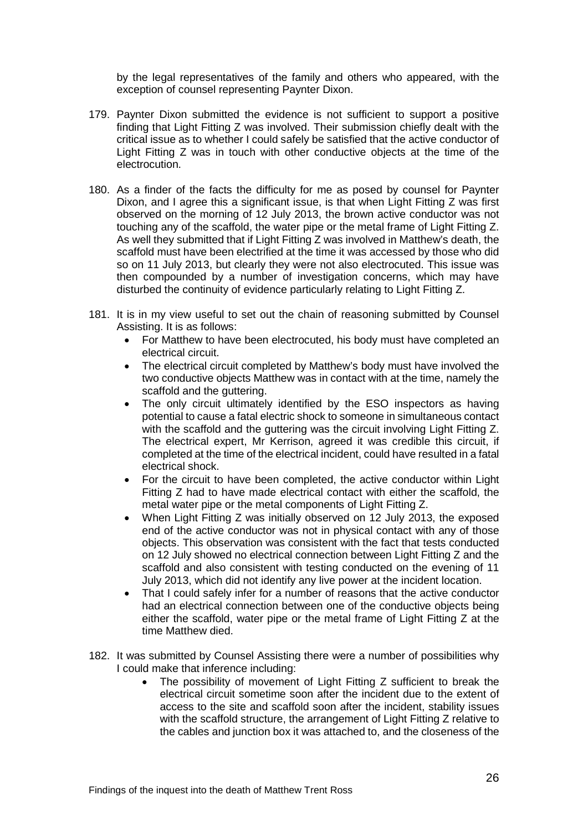by the legal representatives of the family and others who appeared, with the exception of counsel representing Paynter Dixon.

- 179. Paynter Dixon submitted the evidence is not sufficient to support a positive finding that Light Fitting Z was involved. Their submission chiefly dealt with the critical issue as to whether I could safely be satisfied that the active conductor of Light Fitting Z was in touch with other conductive objects at the time of the electrocution.
- 180. As a finder of the facts the difficulty for me as posed by counsel for Paynter Dixon, and I agree this a significant issue, is that when Light Fitting Z was first observed on the morning of 12 July 2013, the brown active conductor was not touching any of the scaffold, the water pipe or the metal frame of Light Fitting Z. As well they submitted that if Light Fitting Z was involved in Matthew's death, the scaffold must have been electrified at the time it was accessed by those who did so on 11 July 2013, but clearly they were not also electrocuted. This issue was then compounded by a number of investigation concerns, which may have disturbed the continuity of evidence particularly relating to Light Fitting Z.
- 181. It is in my view useful to set out the chain of reasoning submitted by Counsel Assisting. It is as follows:
	- For Matthew to have been electrocuted, his body must have completed an electrical circuit.
	- The electrical circuit completed by Matthew's body must have involved the two conductive objects Matthew was in contact with at the time, namely the scaffold and the guttering.
	- The only circuit ultimately identified by the ESO inspectors as having potential to cause a fatal electric shock to someone in simultaneous contact with the scaffold and the guttering was the circuit involving Light Fitting Z. The electrical expert, Mr Kerrison, agreed it was credible this circuit, if completed at the time of the electrical incident, could have resulted in a fatal electrical shock.
	- For the circuit to have been completed, the active conductor within Light Fitting Z had to have made electrical contact with either the scaffold, the metal water pipe or the metal components of Light Fitting Z.
	- When Light Fitting Z was initially observed on 12 July 2013, the exposed end of the active conductor was not in physical contact with any of those objects. This observation was consistent with the fact that tests conducted on 12 July showed no electrical connection between Light Fitting Z and the scaffold and also consistent with testing conducted on the evening of 11 July 2013, which did not identify any live power at the incident location.
	- That I could safely infer for a number of reasons that the active conductor had an electrical connection between one of the conductive objects being either the scaffold, water pipe or the metal frame of Light Fitting Z at the time Matthew died.
- 182. It was submitted by Counsel Assisting there were a number of possibilities why I could make that inference including:
	- The possibility of movement of Light Fitting Z sufficient to break the electrical circuit sometime soon after the incident due to the extent of access to the site and scaffold soon after the incident, stability issues with the scaffold structure, the arrangement of Light Fitting Z relative to the cables and junction box it was attached to, and the closeness of the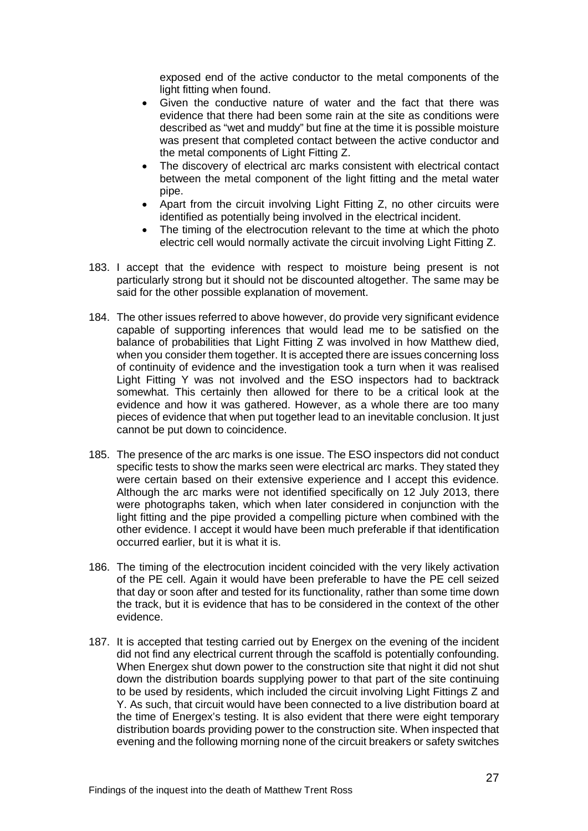exposed end of the active conductor to the metal components of the light fitting when found.

- Given the conductive nature of water and the fact that there was evidence that there had been some rain at the site as conditions were described as "wet and muddy" but fine at the time it is possible moisture was present that completed contact between the active conductor and the metal components of Light Fitting Z.
- The discovery of electrical arc marks consistent with electrical contact between the metal component of the light fitting and the metal water pipe.
- Apart from the circuit involving Light Fitting Z, no other circuits were identified as potentially being involved in the electrical incident.
- The timing of the electrocution relevant to the time at which the photo electric cell would normally activate the circuit involving Light Fitting Z.
- 183. I accept that the evidence with respect to moisture being present is not particularly strong but it should not be discounted altogether. The same may be said for the other possible explanation of movement.
- 184. The other issues referred to above however, do provide very significant evidence capable of supporting inferences that would lead me to be satisfied on the balance of probabilities that Light Fitting Z was involved in how Matthew died, when you consider them together. It is accepted there are issues concerning loss of continuity of evidence and the investigation took a turn when it was realised Light Fitting Y was not involved and the ESO inspectors had to backtrack somewhat. This certainly then allowed for there to be a critical look at the evidence and how it was gathered. However, as a whole there are too many pieces of evidence that when put together lead to an inevitable conclusion. It just cannot be put down to coincidence.
- 185. The presence of the arc marks is one issue. The ESO inspectors did not conduct specific tests to show the marks seen were electrical arc marks. They stated they were certain based on their extensive experience and I accept this evidence. Although the arc marks were not identified specifically on 12 July 2013, there were photographs taken, which when later considered in conjunction with the light fitting and the pipe provided a compelling picture when combined with the other evidence. I accept it would have been much preferable if that identification occurred earlier, but it is what it is.
- 186. The timing of the electrocution incident coincided with the very likely activation of the PE cell. Again it would have been preferable to have the PE cell seized that day or soon after and tested for its functionality, rather than some time down the track, but it is evidence that has to be considered in the context of the other evidence.
- 187. It is accepted that testing carried out by Energex on the evening of the incident did not find any electrical current through the scaffold is potentially confounding. When Energex shut down power to the construction site that night it did not shut down the distribution boards supplying power to that part of the site continuing to be used by residents, which included the circuit involving Light Fittings Z and Y. As such, that circuit would have been connected to a live distribution board at the time of Energex's testing. It is also evident that there were eight temporary distribution boards providing power to the construction site. When inspected that evening and the following morning none of the circuit breakers or safety switches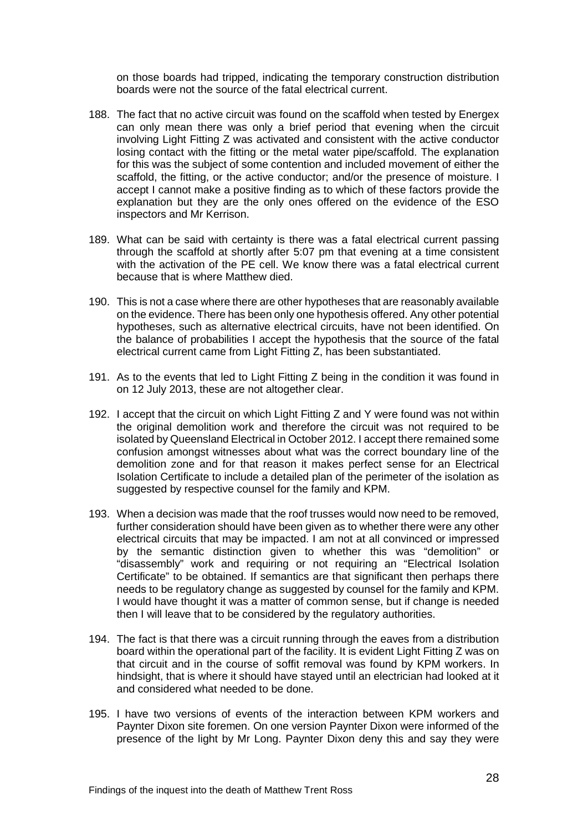on those boards had tripped, indicating the temporary construction distribution boards were not the source of the fatal electrical current.

- 188. The fact that no active circuit was found on the scaffold when tested by Energex can only mean there was only a brief period that evening when the circuit involving Light Fitting Z was activated and consistent with the active conductor losing contact with the fitting or the metal water pipe/scaffold. The explanation for this was the subject of some contention and included movement of either the scaffold, the fitting, or the active conductor; and/or the presence of moisture. I accept I cannot make a positive finding as to which of these factors provide the explanation but they are the only ones offered on the evidence of the ESO inspectors and Mr Kerrison.
- 189. What can be said with certainty is there was a fatal electrical current passing through the scaffold at shortly after 5:07 pm that evening at a time consistent with the activation of the PE cell. We know there was a fatal electrical current because that is where Matthew died.
- 190. This is not a case where there are other hypotheses that are reasonably available on the evidence. There has been only one hypothesis offered. Any other potential hypotheses, such as alternative electrical circuits, have not been identified. On the balance of probabilities I accept the hypothesis that the source of the fatal electrical current came from Light Fitting Z, has been substantiated.
- 191. As to the events that led to Light Fitting Z being in the condition it was found in on 12 July 2013, these are not altogether clear.
- 192. I accept that the circuit on which Light Fitting Z and Y were found was not within the original demolition work and therefore the circuit was not required to be isolated by Queensland Electrical in October 2012. I accept there remained some confusion amongst witnesses about what was the correct boundary line of the demolition zone and for that reason it makes perfect sense for an Electrical Isolation Certificate to include a detailed plan of the perimeter of the isolation as suggested by respective counsel for the family and KPM.
- 193. When a decision was made that the roof trusses would now need to be removed, further consideration should have been given as to whether there were any other electrical circuits that may be impacted. I am not at all convinced or impressed by the semantic distinction given to whether this was "demolition" or "disassembly" work and requiring or not requiring an "Electrical Isolation Certificate" to be obtained. If semantics are that significant then perhaps there needs to be regulatory change as suggested by counsel for the family and KPM. I would have thought it was a matter of common sense, but if change is needed then I will leave that to be considered by the regulatory authorities.
- 194. The fact is that there was a circuit running through the eaves from a distribution board within the operational part of the facility. It is evident Light Fitting Z was on that circuit and in the course of soffit removal was found by KPM workers. In hindsight, that is where it should have stayed until an electrician had looked at it and considered what needed to be done.
- 195. I have two versions of events of the interaction between KPM workers and Paynter Dixon site foremen. On one version Paynter Dixon were informed of the presence of the light by Mr Long. Paynter Dixon deny this and say they were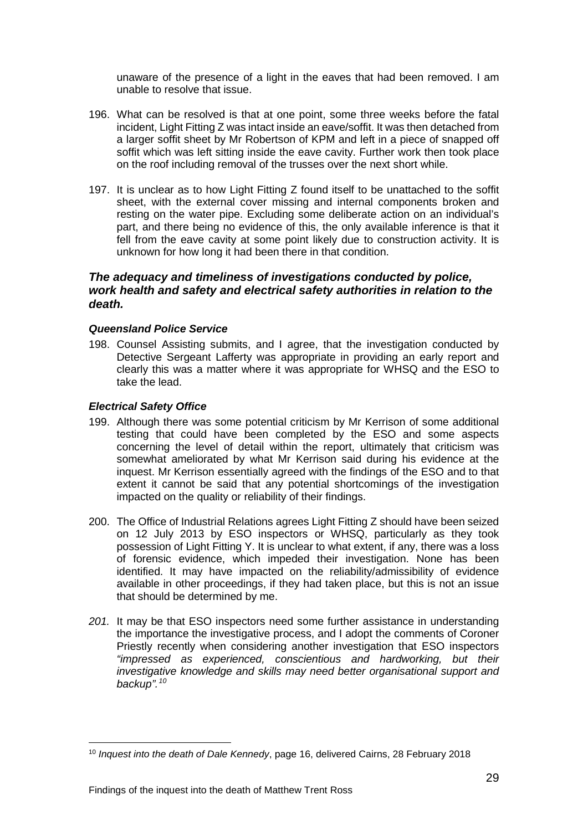unaware of the presence of a light in the eaves that had been removed. I am unable to resolve that issue.

- 196. What can be resolved is that at one point, some three weeks before the fatal incident, Light Fitting Z was intact inside an eave/soffit. It was then detached from a larger soffit sheet by Mr Robertson of KPM and left in a piece of snapped off soffit which was left sitting inside the eave cavity. Further work then took place on the roof including removal of the trusses over the next short while.
- 197. It is unclear as to how Light Fitting Z found itself to be unattached to the soffit sheet, with the external cover missing and internal components broken and resting on the water pipe. Excluding some deliberate action on an individual's part, and there being no evidence of this, the only available inference is that it fell from the eave cavity at some point likely due to construction activity. It is unknown for how long it had been there in that condition.

#### <span id="page-30-0"></span>*The adequacy and timeliness of investigations conducted by police, work health and safety and electrical safety authorities in relation to the death.*

#### <span id="page-30-1"></span>*Queensland Police Service*

198. Counsel Assisting submits, and I agree, that the investigation conducted by Detective Sergeant Lafferty was appropriate in providing an early report and clearly this was a matter where it was appropriate for WHSQ and the ESO to take the lead.

#### <span id="page-30-2"></span>*Electrical Safety Office*

- 199. Although there was some potential criticism by Mr Kerrison of some additional testing that could have been completed by the ESO and some aspects concerning the level of detail within the report, ultimately that criticism was somewhat ameliorated by what Mr Kerrison said during his evidence at the inquest. Mr Kerrison essentially agreed with the findings of the ESO and to that extent it cannot be said that any potential shortcomings of the investigation impacted on the quality or reliability of their findings.
- 200. The Office of Industrial Relations agrees Light Fitting Z should have been seized on 12 July 2013 by ESO inspectors or WHSQ, particularly as they took possession of Light Fitting Y. It is unclear to what extent, if any, there was a loss of forensic evidence, which impeded their investigation. None has been identified. It may have impacted on the reliability/admissibility of evidence available in other proceedings, if they had taken place, but this is not an issue that should be determined by me.
- *201.* It may be that ESO inspectors need some further assistance in understanding the importance the investigative process, and I adopt the comments of Coroner Priestly recently when considering another investigation that ESO inspectors *"impressed as experienced, conscientious and hardworking, but their investigative knowledge and skills may need better organisational support and backup".[10](#page-30-3)*

<span id="page-30-3"></span><sup>10</sup> *Inquest into the death of Dale Kennedy*, page 16, delivered Cairns, 28 February 2018  $\overline{a}$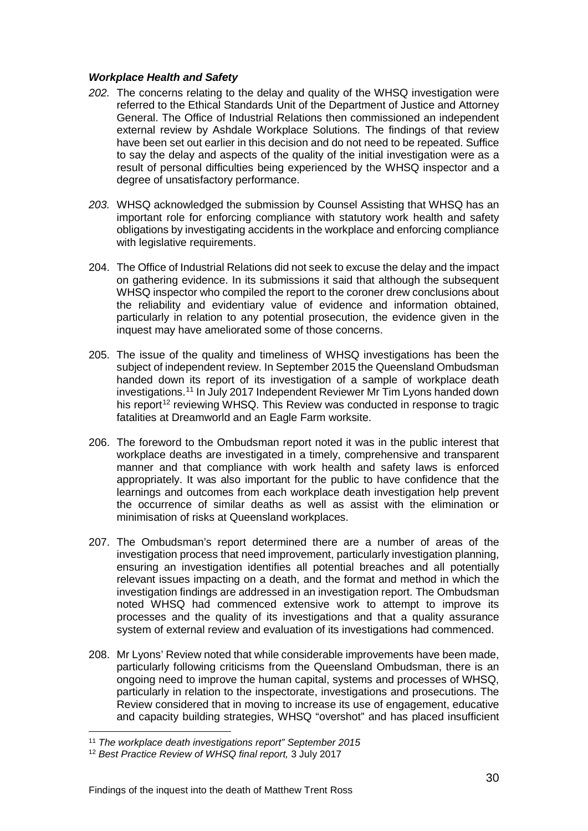#### <span id="page-31-0"></span>*Workplace Health and Safety*

- *202.* The concerns relating to the delay and quality of the WHSQ investigation were referred to the Ethical Standards Unit of the Department of Justice and Attorney General. The Office of Industrial Relations then commissioned an independent external review by Ashdale Workplace Solutions. The findings of that review have been set out earlier in this decision and do not need to be repeated. Suffice to say the delay and aspects of the quality of the initial investigation were as a result of personal difficulties being experienced by the WHSQ inspector and a degree of unsatisfactory performance.
- *203.* WHSQ acknowledged the submission by Counsel Assisting that WHSQ has an important role for enforcing compliance with statutory work health and safety obligations by investigating accidents in the workplace and enforcing compliance with legislative requirements.
- 204. The Office of Industrial Relations did not seek to excuse the delay and the impact on gathering evidence. In its submissions it said that although the subsequent WHSQ inspector who compiled the report to the coroner drew conclusions about the reliability and evidentiary value of evidence and information obtained, particularly in relation to any potential prosecution, the evidence given in the inquest may have ameliorated some of those concerns.
- 205. The issue of the quality and timeliness of WHSQ investigations has been the subject of independent review. In September 2015 the Queensland Ombudsman handed down its report of its investigation of a sample of workplace death investigations. [11](#page-31-1) In July 2017 Independent Reviewer Mr Tim Lyons handed down his report<sup>[12](#page-31-2)</sup> reviewing WHSQ. This Review was conducted in response to tragic fatalities at Dreamworld and an Eagle Farm worksite.
- 206. The foreword to the Ombudsman report noted it was in the public interest that workplace deaths are investigated in a timely, comprehensive and transparent manner and that compliance with work health and safety laws is enforced appropriately. It was also important for the public to have confidence that the learnings and outcomes from each workplace death investigation help prevent the occurrence of similar deaths as well as assist with the elimination or minimisation of risks at Queensland workplaces.
- 207. The Ombudsman's report determined there are a number of areas of the investigation process that need improvement, particularly investigation planning, ensuring an investigation identifies all potential breaches and all potentially relevant issues impacting on a death, and the format and method in which the investigation findings are addressed in an investigation report. The Ombudsman noted WHSQ had commenced extensive work to attempt to improve its processes and the quality of its investigations and that a quality assurance system of external review and evaluation of its investigations had commenced.
- 208. Mr Lyons' Review noted that while considerable improvements have been made, particularly following criticisms from the Queensland Ombudsman, there is an ongoing need to improve the human capital, systems and processes of WHSQ, particularly in relation to the inspectorate, investigations and prosecutions. The Review considered that in moving to increase its use of engagement, educative and capacity building strategies, WHSQ "overshot" and has placed insufficient

<sup>11</sup> *The workplace death investigations report" September 2015*  $\overline{a}$ 

<span id="page-31-2"></span><span id="page-31-1"></span><sup>12</sup> *Best Practice Review of WHSQ final report,* 3 July 2017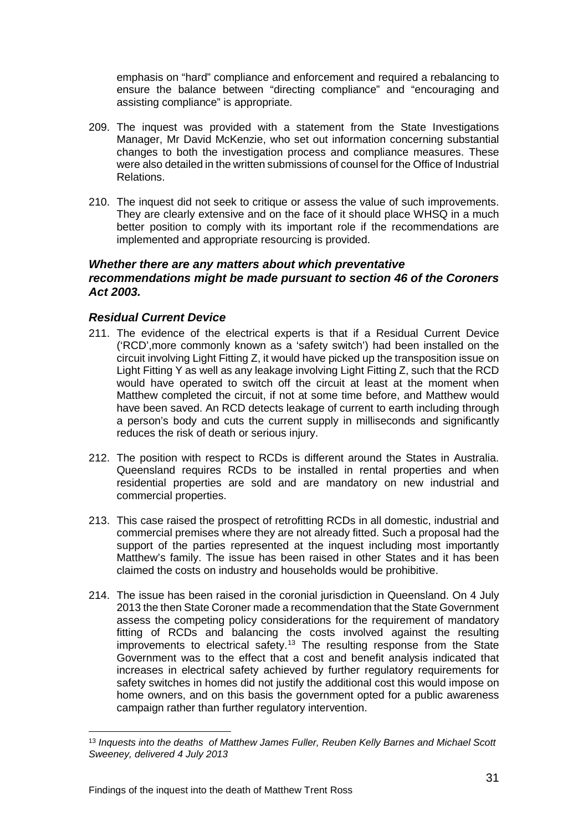emphasis on "hard" compliance and enforcement and required a rebalancing to ensure the balance between "directing compliance" and "encouraging and assisting compliance" is appropriate.

- 209. The inquest was provided with a statement from the State Investigations Manager, Mr David McKenzie, who set out information concerning substantial changes to both the investigation process and compliance measures. These were also detailed in the written submissions of counsel for the Office of Industrial Relations.
- 210. The inquest did not seek to critique or assess the value of such improvements. They are clearly extensive and on the face of it should place WHSQ in a much better position to comply with its important role if the recommendations are implemented and appropriate resourcing is provided.

#### <span id="page-32-0"></span>*Whether there are any matters about which preventative recommendations might be made pursuant to section 46 of the Coroners Act 2003.*

#### <span id="page-32-1"></span>*Residual Current Device*

- 211. The evidence of the electrical experts is that if a Residual Current Device ('RCD',more commonly known as a 'safety switch') had been installed on the circuit involving Light Fitting Z, it would have picked up the transposition issue on Light Fitting Y as well as any leakage involving Light Fitting Z, such that the RCD would have operated to switch off the circuit at least at the moment when Matthew completed the circuit, if not at some time before, and Matthew would have been saved. An RCD detects leakage of current to earth including through a person's body and cuts the current supply in milliseconds and significantly reduces the risk of death or serious injury.
- 212. The position with respect to RCDs is different around the States in Australia. Queensland requires RCDs to be installed in rental properties and when residential properties are sold and are mandatory on new industrial and commercial properties.
- 213. This case raised the prospect of retrofitting RCDs in all domestic, industrial and commercial premises where they are not already fitted. Such a proposal had the support of the parties represented at the inquest including most importantly Matthew's family. The issue has been raised in other States and it has been claimed the costs on industry and households would be prohibitive.
- 214. The issue has been raised in the coronial jurisdiction in Queensland. On 4 July 2013 the then State Coroner made a recommendation that the State Government assess the competing policy considerations for the requirement of mandatory fitting of RCDs and balancing the costs involved against the resulting improvements to electrical safety.<sup>13</sup> The resulting response from the State Government was to the effect that a cost and benefit analysis indicated that increases in electrical safety achieved by further regulatory requirements for safety switches in homes did not justify the additional cost this would impose on home owners, and on this basis the government opted for a public awareness campaign rather than further regulatory intervention.

<span id="page-32-2"></span><sup>13</sup> *Inquests into the deaths of Matthew James Fuller, Reuben Kelly Barnes and Michael Scott Sweeney, delivered 4 July 2013*  $\overline{a}$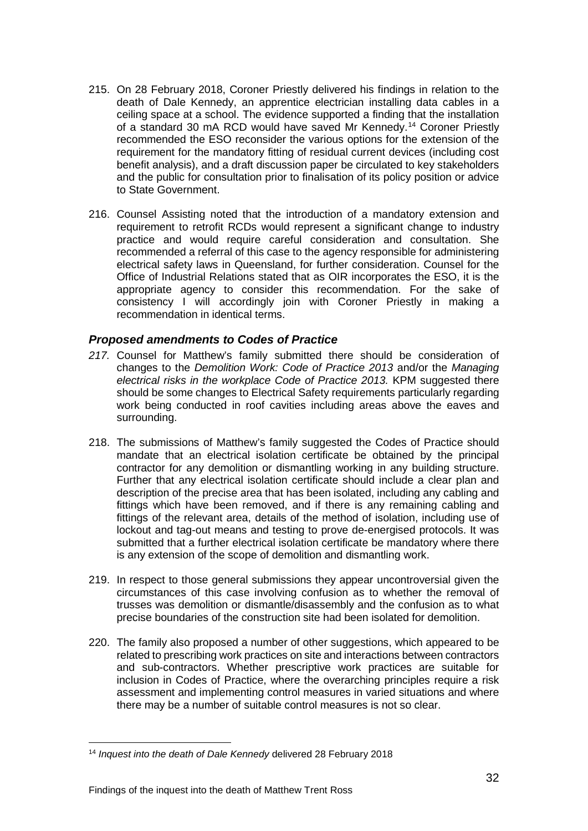- 215. On 28 February 2018, Coroner Priestly delivered his findings in relation to the death of Dale Kennedy, an apprentice electrician installing data cables in a ceiling space at a school. The evidence supported a finding that the installation of a standard 30 mA RCD would have saved Mr Kennedy.[14](#page-33-1) Coroner Priestly recommended the ESO reconsider the various options for the extension of the requirement for the mandatory fitting of residual current devices (including cost benefit analysis), and a draft discussion paper be circulated to key stakeholders and the public for consultation prior to finalisation of its policy position or advice to State Government.
- 216. Counsel Assisting noted that the introduction of a mandatory extension and requirement to retrofit RCDs would represent a significant change to industry practice and would require careful consideration and consultation. She recommended a referral of this case to the agency responsible for administering electrical safety laws in Queensland, for further consideration. Counsel for the Office of Industrial Relations stated that as OIR incorporates the ESO, it is the appropriate agency to consider this recommendation. For the sake of consistency I will accordingly join with Coroner Priestly in making a recommendation in identical terms.

#### <span id="page-33-0"></span>*Proposed amendments to Codes of Practice*

- *217.* Counsel for Matthew's family submitted there should be consideration of changes to the *Demolition Work: Code of Practice 2013* and/or the *Managing electrical risks in the workplace Code of Practice 2013.* KPM suggested there should be some changes to Electrical Safety requirements particularly regarding work being conducted in roof cavities including areas above the eaves and surrounding.
- 218. The submissions of Matthew's family suggested the Codes of Practice should mandate that an electrical isolation certificate be obtained by the principal contractor for any demolition or dismantling working in any building structure. Further that any electrical isolation certificate should include a clear plan and description of the precise area that has been isolated, including any cabling and fittings which have been removed, and if there is any remaining cabling and fittings of the relevant area, details of the method of isolation, including use of lockout and tag-out means and testing to prove de-energised protocols. It was submitted that a further electrical isolation certificate be mandatory where there is any extension of the scope of demolition and dismantling work.
- 219. In respect to those general submissions they appear uncontroversial given the circumstances of this case involving confusion as to whether the removal of trusses was demolition or dismantle/disassembly and the confusion as to what precise boundaries of the construction site had been isolated for demolition.
- 220. The family also proposed a number of other suggestions, which appeared to be related to prescribing work practices on site and interactions between contractors and sub-contractors. Whether prescriptive work practices are suitable for inclusion in Codes of Practice, where the overarching principles require a risk assessment and implementing control measures in varied situations and where there may be a number of suitable control measures is not so clear.

<span id="page-33-1"></span><sup>14</sup> *Inquest into the death of Dale Kennedy* delivered 28 February 2018  $\overline{a}$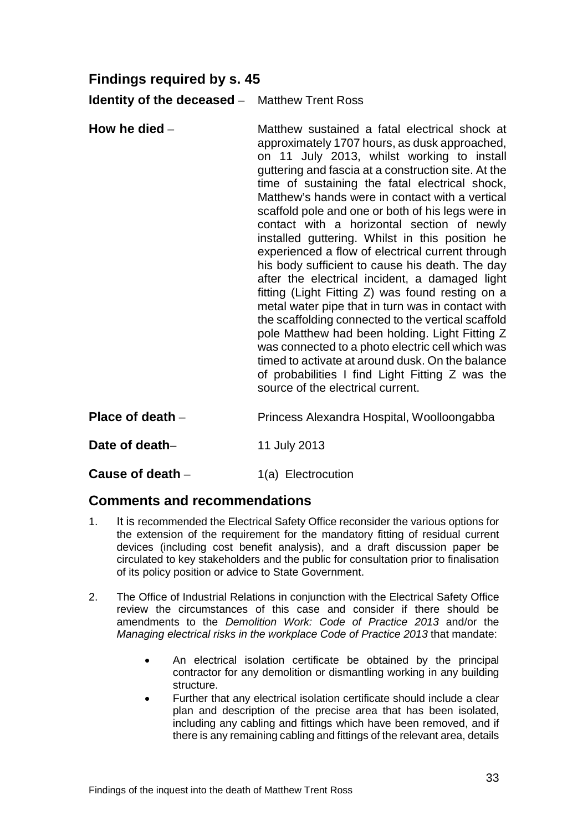# <span id="page-34-0"></span>**Findings required by s. 45**

<span id="page-34-1"></span>**Identity of the deceased** – Matthew Trent Ross

- <span id="page-34-2"></span>**How he died** – **Matthew** sustained a fatal electrical shock at approximately 1707 hours, as dusk approached, on 11 July 2013, whilst working to install guttering and fascia at a construction site. At the time of sustaining the fatal electrical shock, Matthew's hands were in contact with a vertical scaffold pole and one or both of his legs were in contact with a horizontal section of newly installed guttering. Whilst in this position he experienced a flow of electrical current through his body sufficient to cause his death. The day after the electrical incident, a damaged light fitting (Light Fitting Z) was found resting on a metal water pipe that in turn was in contact with the scaffolding connected to the vertical scaffold pole Matthew had been holding. Light Fitting Z was connected to a photo electric cell which was timed to activate at around dusk. On the balance of probabilities I find Light Fitting Z was the source of the electrical current.
- <span id="page-34-3"></span>**Place of death** – **Princess Alexandra Hospital, Woolloongabba**
- <span id="page-34-4"></span>**Date of death–** 11 July 2013
- <span id="page-34-6"></span><span id="page-34-5"></span>**Cause of death** – 1(a) Electrocution

## **Comments and recommendations**

- 1. It is recommended the Electrical Safety Office reconsider the various options for the extension of the requirement for the mandatory fitting of residual current devices (including cost benefit analysis), and a draft discussion paper be circulated to key stakeholders and the public for consultation prior to finalisation of its policy position or advice to State Government.
- 2. The Office of Industrial Relations in conjunction with the Electrical Safety Office review the circumstances of this case and consider if there should be amendments to the *Demolition Work: Code of Practice 2013* and/or the *Managing electrical risks in the workplace Code of Practice 2013* that mandate:
	- An electrical isolation certificate be obtained by the principal contractor for any demolition or dismantling working in any building structure.
	- Further that any electrical isolation certificate should include a clear plan and description of the precise area that has been isolated, including any cabling and fittings which have been removed, and if there is any remaining cabling and fittings of the relevant area, details